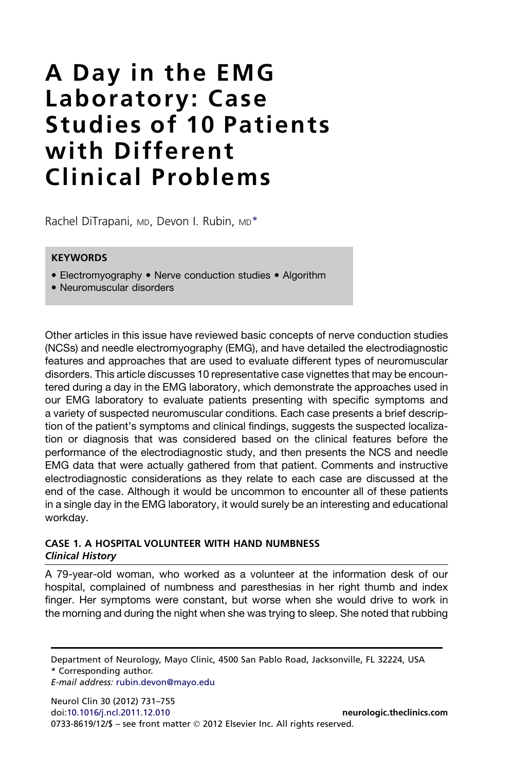# A Day in the EMG Laboratory: Case Studies of 10 Patients with Different Clinical Problems

Rachel DiTrapani, MD, Devon I. Rubin, MD<sup>\*</sup>

## **KEYWORDS**

- Electromyography Nerve conduction studies Algorithm
- Neuromuscular disorders

Other articles in this issue have reviewed basic concepts of nerve conduction studies (NCSs) and needle electromyography (EMG), and have detailed the electrodiagnostic features and approaches that are used to evaluate different types of neuromuscular disorders. This article discusses 10 representative case vignettes that may be encountered during a day in the EMG laboratory, which demonstrate the approaches used in our EMG laboratory to evaluate patients presenting with specific symptoms and a variety of suspected neuromuscular conditions. Each case presents a brief description of the patient's symptoms and clinical findings, suggests the suspected localization or diagnosis that was considered based on the clinical features before the performance of the electrodiagnostic study, and then presents the NCS and needle EMG data that were actually gathered from that patient. Comments and instructive electrodiagnostic considerations as they relate to each case are discussed at the end of the case. Although it would be uncommon to encounter all of these patients in a single day in the EMG laboratory, it would surely be an interesting and educational workday.

## CASE 1. A HOSPITAL VOLUNTEER WITH HAND NUMBNESS Clinical History

A 79-year-old woman, who worked as a volunteer at the information desk of our hospital, complained of numbness and paresthesias in her right thumb and index finger. Her symptoms were constant, but worse when she would drive to work in the morning and during the night when she was trying to sleep. She noted that rubbing

E-mail address: [rubin.devon@mayo.edu](mailto:rubin.devon@mayo.edu)

Department of Neurology, Mayo Clinic, 4500 San Pablo Road, Jacksonville, FL 32224, USA \* Corresponding author.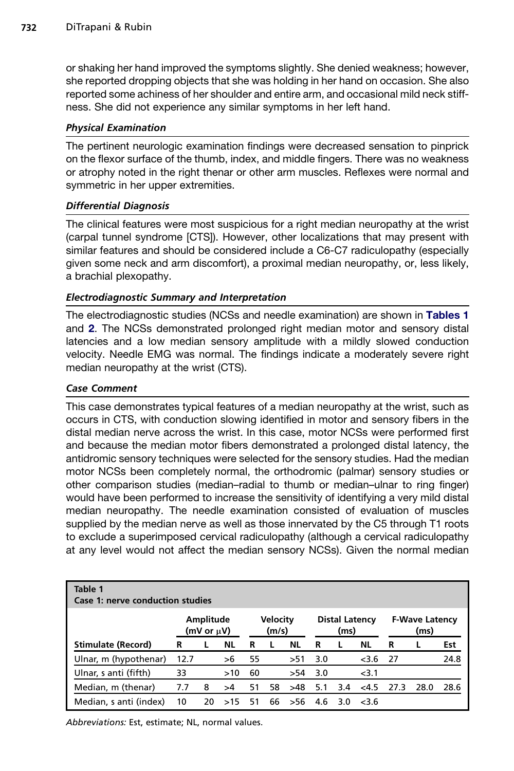or shaking her hand improved the symptoms slightly. She denied weakness; however, she reported dropping objects that she was holding in her hand on occasion. She also reported some achiness of her shoulder and entire arm, and occasional mild neck stiffness. She did not experience any similar symptoms in her left hand.

## Physical Examination

The pertinent neurologic examination findings were decreased sensation to pinprick on the flexor surface of the thumb, index, and middle fingers. There was no weakness or atrophy noted in the right thenar or other arm muscles. Reflexes were normal and symmetric in her upper extremities.

## Differential Diagnosis

The clinical features were most suspicious for a right median neuropathy at the wrist (carpal tunnel syndrome [CTS]). However, other localizations that may present with similar features and should be considered include a C6-C7 radiculopathy (especially given some neck and arm discomfort), a proximal median neuropathy, or, less likely, a brachial plexopathy.

## Electrodiagnostic Summary and Interpretation

The electrodiagnostic studies (NCSs and needle examination) are shown in Tables 1 and [2](#page-2-0). The NCSs demonstrated prolonged right median motor and sensory distal latencies and a low median sensory amplitude with a mildly slowed conduction velocity. Needle EMG was normal. The findings indicate a moderately severe right median neuropathy at the wrist (CTS).

#### Case Comment

This case demonstrates typical features of a median neuropathy at the wrist, such as occurs in CTS, with conduction slowing identified in motor and sensory fibers in the distal median nerve across the wrist. In this case, motor NCSs were performed first and because the median motor fibers demonstrated a prolonged distal latency, the antidromic sensory techniques were selected for the sensory studies. Had the median motor NCSs been completely normal, the orthodromic (palmar) sensory studies or other comparison studies (median–radial to thumb or median–ulnar to ring finger) would have been performed to increase the sensitivity of identifying a very mild distal median neuropathy. The needle examination consisted of evaluation of muscles supplied by the median nerve as well as those innervated by the C5 through T1 roots to exclude a superimposed cervical radiculopathy (although a cervical radiculopathy at any level would not affect the median sensory NCSs). Given the normal median

| Table 1<br>Case 1: nerve conduction studies |      |                              |     |                   |    |                               |     |                               |          |      |      |      |
|---------------------------------------------|------|------------------------------|-----|-------------------|----|-------------------------------|-----|-------------------------------|----------|------|------|------|
|                                             |      | Amplitude<br>(mV or $\mu$ V) |     | Velocity<br>(m/s) |    | <b>Distal Latency</b><br>(ms) |     | <b>F-Wave Latency</b><br>(ms) |          |      |      |      |
| <b>Stimulate (Record)</b>                   | R    |                              | NL  | R                 |    | ΝL                            | R   |                               | NL       | R    |      | Est  |
| Ulnar, m (hypothenar)                       | 12.7 |                              | >6  | 55                |    | >51                           | 3.0 |                               | 3.6      | -27  |      | 24.8 |
| Ulnar, s anti (fifth)                       | 33   |                              | >10 | 60                |    | >54                           | 3.0 |                               | $<$ 3.1  |      |      |      |
| Median, m (thenar)                          | 7.7  | 8                            | >4  | 51                | 58 | >48                           | 5.1 | 3.4                           | <4.5     | 27.3 | 28.0 | 28.6 |
| Median, s anti (index)                      | 10   | 20                           | >15 | 51                | 66 | >56                           | 4.6 | 3.0                           | $~<$ 3.6 |      |      |      |

Abbreviations: Est, estimate; NL, normal values.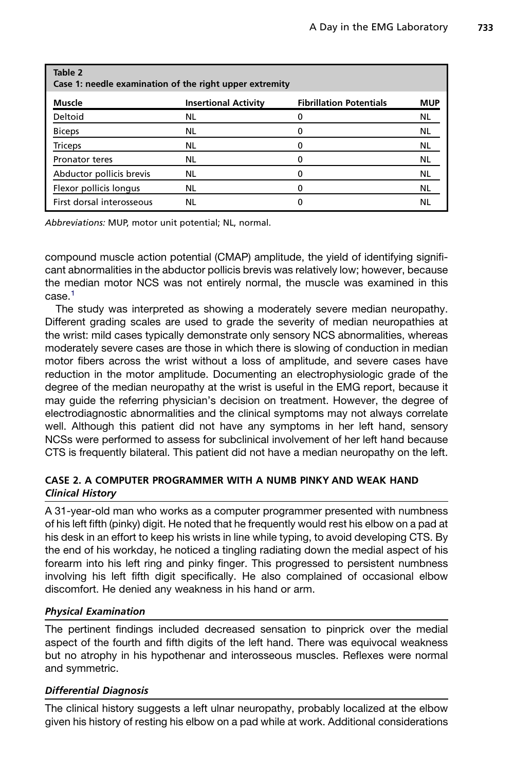<span id="page-2-0"></span>

| Table 2<br>Case 1: needle examination of the right upper extremity |                             |                                |            |  |  |  |  |  |  |
|--------------------------------------------------------------------|-----------------------------|--------------------------------|------------|--|--|--|--|--|--|
| Muscle                                                             | <b>Insertional Activity</b> | <b>Fibrillation Potentials</b> | <b>MUP</b> |  |  |  |  |  |  |
| Deltoid                                                            | NL                          |                                | NL         |  |  |  |  |  |  |
| <b>Biceps</b>                                                      | <b>NL</b>                   |                                | <b>NL</b>  |  |  |  |  |  |  |
| <b>Triceps</b>                                                     | NL                          |                                | <b>NL</b>  |  |  |  |  |  |  |
| Pronator teres                                                     | NL                          |                                | NL         |  |  |  |  |  |  |
| Abductor pollicis brevis                                           | NL                          |                                | NL         |  |  |  |  |  |  |
| Flexor pollicis longus                                             | <b>NL</b>                   |                                | NL         |  |  |  |  |  |  |
| First dorsal interosseous                                          | ΝL                          | 0                              | NL         |  |  |  |  |  |  |

Abbreviations: MUP, motor unit potential; NL, normal.

compound muscle action potential (CMAP) amplitude, the yield of identifying significant abnormalities in the abductor pollicis brevis was relatively low; however, because the median motor NCS was not entirely normal, the muscle was examined in this case[.1](#page-24-0)

The study was interpreted as showing a moderately severe median neuropathy. Different grading scales are used to grade the severity of median neuropathies at the wrist: mild cases typically demonstrate only sensory NCS abnormalities, whereas moderately severe cases are those in which there is slowing of conduction in median motor fibers across the wrist without a loss of amplitude, and severe cases have reduction in the motor amplitude. Documenting an electrophysiologic grade of the degree of the median neuropathy at the wrist is useful in the EMG report, because it may guide the referring physician's decision on treatment. However, the degree of electrodiagnostic abnormalities and the clinical symptoms may not always correlate well. Although this patient did not have any symptoms in her left hand, sensory NCSs were performed to assess for subclinical involvement of her left hand because CTS is frequently bilateral. This patient did not have a median neuropathy on the left.

## CASE 2. A COMPUTER PROGRAMMER WITH A NUMB PINKY AND WEAK HAND Clinical History

A 31-year-old man who works as a computer programmer presented with numbness of his left fifth (pinky) digit. He noted that he frequently would rest his elbow on a pad at his desk in an effort to keep his wrists in line while typing, to avoid developing CTS. By the end of his workday, he noticed a tingling radiating down the medial aspect of his forearm into his left ring and pinky finger. This progressed to persistent numbness involving his left fifth digit specifically. He also complained of occasional elbow discomfort. He denied any weakness in his hand or arm.

#### Physical Examination

The pertinent findings included decreased sensation to pinprick over the medial aspect of the fourth and fifth digits of the left hand. There was equivocal weakness but no atrophy in his hypothenar and interosseous muscles. Reflexes were normal and symmetric.

#### Differential Diagnosis

The clinical history suggests a left ulnar neuropathy, probably localized at the elbow given his history of resting his elbow on a pad while at work. Additional considerations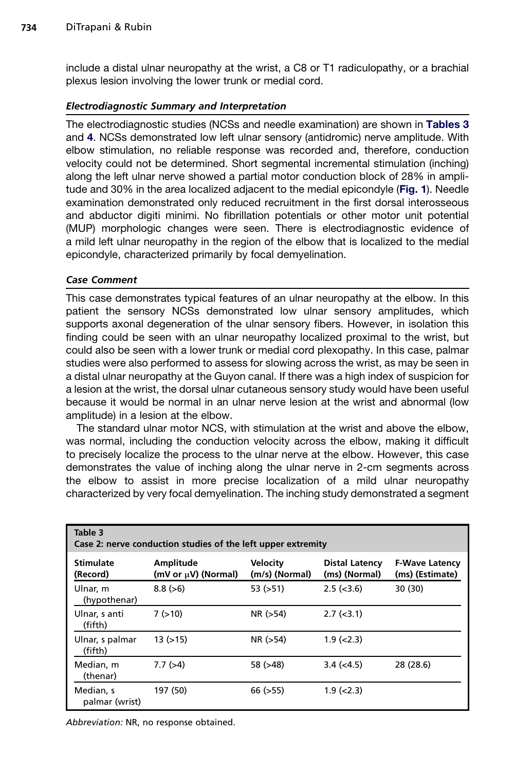include a distal ulnar neuropathy at the wrist, a C8 or T1 radiculopathy, or a brachial plexus lesion involving the lower trunk or medial cord.

## Electrodiagnostic Summary and Interpretation

The electrodiagnostic studies (NCSs and needle examination) are shown in Tables 3 and [4](#page-4-0). NCSs demonstrated low left ulnar sensory (antidromic) nerve amplitude. With elbow stimulation, no reliable response was recorded and, therefore, conduction velocity could not be determined. Short segmental incremental stimulation (inching) along the left ulnar nerve showed a partial motor conduction block of 28% in amplitude and 30% in the area localized adjacent to the medial epicondyle ([Fig. 1](#page-4-0)). Needle examination demonstrated only reduced recruitment in the first dorsal interosseous and abductor digiti minimi. No fibrillation potentials or other motor unit potential (MUP) morphologic changes were seen. There is electrodiagnostic evidence of a mild left ulnar neuropathy in the region of the elbow that is localized to the medial epicondyle, characterized primarily by focal demyelination.

#### Case Comment

This case demonstrates typical features of an ulnar neuropathy at the elbow. In this patient the sensory NCSs demonstrated low ulnar sensory amplitudes, which supports axonal degeneration of the ulnar sensory fibers. However, in isolation this finding could be seen with an ulnar neuropathy localized proximal to the wrist, but could also be seen with a lower trunk or medial cord plexopathy. In this case, palmar studies were also performed to assess for slowing across the wrist, as may be seen in a distal ulnar neuropathy at the Guyon canal. If there was a high index of suspicion for a lesion at the wrist, the dorsal ulnar cutaneous sensory study would have been useful because it would be normal in an ulnar nerve lesion at the wrist and abnormal (low amplitude) in a lesion at the elbow.

The standard ulnar motor NCS, with stimulation at the wrist and above the elbow, was normal, including the conduction velocity across the elbow, making it difficult to precisely localize the process to the ulnar nerve at the elbow. However, this case demonstrates the value of inching along the ulnar nerve in 2-cm segments across the elbow to assist in more precise localization of a mild ulnar neuropathy characterized by very focal demyelination. The inching study demonstrated a segment

| Table 3<br>Case 2: nerve conduction studies of the left upper extremity |                                  |                            |                                        |                                          |  |  |  |  |  |
|-------------------------------------------------------------------------|----------------------------------|----------------------------|----------------------------------------|------------------------------------------|--|--|--|--|--|
| Stimulate<br>(Record)                                                   | Amplitude<br>(mV or μV) (Normal) | Velocity<br>(m/s) (Normal) | <b>Distal Latency</b><br>(ms) (Normal) | <b>F-Wave Latency</b><br>(ms) (Estimate) |  |  |  |  |  |
| Ulnar, m<br>(hypothenar)                                                | $8.8$ ( $>6$ )                   | 53 (>51)                   | $2.5 \approx 3.6$                      | 30 (30)                                  |  |  |  |  |  |
| Ulnar, s anti<br>(fifth)                                                | 7(>10)                           | $NR$ ( $>54$ )             | 2.7 (< 3.1)                            |                                          |  |  |  |  |  |
| Ulnar, s palmar<br>(fifth)                                              | 13(>15)                          | $NR$ ( $>54$ )             | $1.9$ ( $2.3$ )                        |                                          |  |  |  |  |  |
| Median, m<br>(thenar)                                                   | 7.7(>4)                          | 58 (>48)                   | $3.4 \; (< 4.5)$                       | 28 (28.6)                                |  |  |  |  |  |
| Median, s<br>palmar (wrist)                                             | 197 (50)                         | 66 (>55)                   | $1.9$ ( $2.3$ )                        |                                          |  |  |  |  |  |

Abbreviation: NR, no response obtained.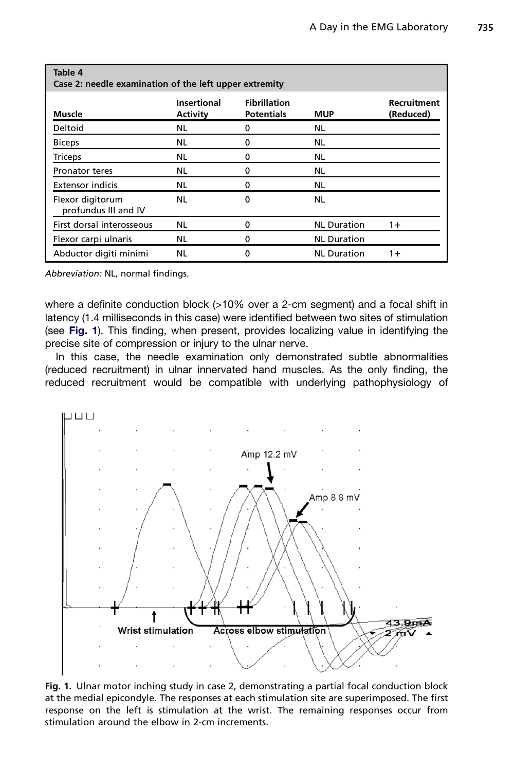<span id="page-4-0"></span>

| Table 4<br>Case 2: needle examination of the left upper extremity |                                |                                          |                    |                                 |  |  |  |  |  |
|-------------------------------------------------------------------|--------------------------------|------------------------------------------|--------------------|---------------------------------|--|--|--|--|--|
| Muscle                                                            | Insertional<br><b>Activity</b> | <b>Fibrillation</b><br><b>Potentials</b> | <b>MUP</b>         | <b>Recruitment</b><br>(Reduced) |  |  |  |  |  |
| Deltoid                                                           | NL                             | 0                                        | NL                 |                                 |  |  |  |  |  |
| <b>Biceps</b>                                                     | NL                             | 0                                        | NL                 |                                 |  |  |  |  |  |
| <b>Triceps</b>                                                    | NL                             | 0                                        | NL                 |                                 |  |  |  |  |  |
| <b>Pronator teres</b>                                             | NL                             | 0                                        | NL                 |                                 |  |  |  |  |  |
| <b>Extensor indicis</b>                                           | NL                             | o                                        | ΝL                 |                                 |  |  |  |  |  |
| Flexor digitorum<br>profundus III and IV                          | NL                             | o                                        | NL                 |                                 |  |  |  |  |  |
| First dorsal interosseous                                         | <b>NL</b>                      | 0                                        | <b>NL</b> Duration | $1+$                            |  |  |  |  |  |
| Flexor carpi ulnaris                                              | NL                             | 0                                        | <b>NL</b> Duration |                                 |  |  |  |  |  |
| Abductor digiti minimi                                            | NL                             | 0                                        | <b>NL</b> Duration | $1+$                            |  |  |  |  |  |

Abbreviation: NL, normal findings.

where a definite conduction block (>10% over a 2-cm segment) and a focal shift in latency (1.4 milliseconds in this case) were identified between two sites of stimulation (see Fig. 1). This finding, when present, provides localizing value in identifying the precise site of compression or injury to the ulnar nerve.

In this case, the needle examination only demonstrated subtle abnormalities (reduced recruitment) in ulnar innervated hand muscles. As the only finding, the reduced recruitment would be compatible with underlying pathophysiology of



Fig. 1. Ulnar motor inching study in case 2, demonstrating a partial focal conduction block at the medial epicondyle. The responses at each stimulation site are superimposed. The first response on the left is stimulation at the wrist. The remaining responses occur from stimulation around the elbow in 2-cm increments.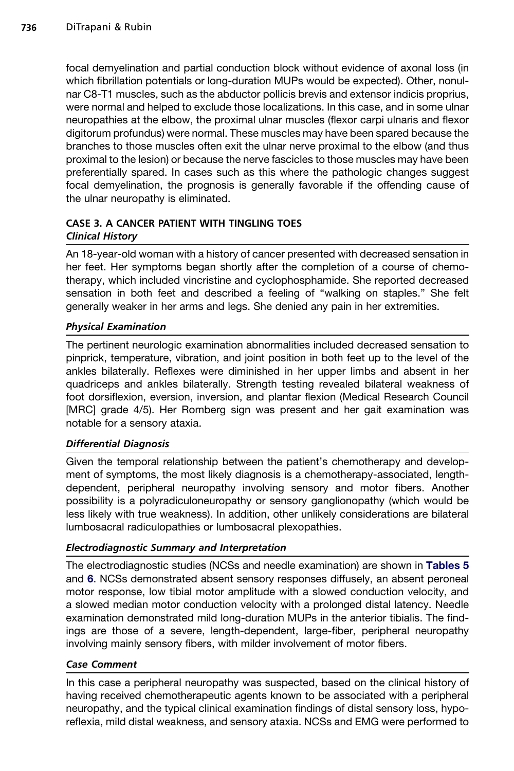focal demyelination and partial conduction block without evidence of axonal loss (in which fibrillation potentials or long-duration MUPs would be expected). Other, nonulnar C8-T1 muscles, such as the abductor pollicis brevis and extensor indicis proprius, were normal and helped to exclude those localizations. In this case, and in some ulnar neuropathies at the elbow, the proximal ulnar muscles (flexor carpi ulnaris and flexor digitorum profundus) were normal. These muscles may have been spared because the branches to those muscles often exit the ulnar nerve proximal to the elbow (and thus proximal to the lesion) or because the nerve fascicles to those muscles may have been preferentially spared. In cases such as this where the pathologic changes suggest focal demyelination, the prognosis is generally favorable if the offending cause of the ulnar neuropathy is eliminated.

## CASE 3. A CANCER PATIENT WITH TINGLING TOES Clinical History

An 18-year-old woman with a history of cancer presented with decreased sensation in her feet. Her symptoms began shortly after the completion of a course of chemotherapy, which included vincristine and cyclophosphamide. She reported decreased sensation in both feet and described a feeling of "walking on staples." She felt generally weaker in her arms and legs. She denied any pain in her extremities.

# Physical Examination

The pertinent neurologic examination abnormalities included decreased sensation to pinprick, temperature, vibration, and joint position in both feet up to the level of the ankles bilaterally. Reflexes were diminished in her upper limbs and absent in her quadriceps and ankles bilaterally. Strength testing revealed bilateral weakness of foot dorsiflexion, eversion, inversion, and plantar flexion (Medical Research Council [MRC] grade 4/5). Her Romberg sign was present and her gait examination was notable for a sensory ataxia.

## Differential Diagnosis

Given the temporal relationship between the patient's chemotherapy and development of symptoms, the most likely diagnosis is a chemotherapy-associated, lengthdependent, peripheral neuropathy involving sensory and motor fibers. Another possibility is a polyradiculoneuropathy or sensory ganglionopathy (which would be less likely with true weakness). In addition, other unlikely considerations are bilateral lumbosacral radiculopathies or lumbosacral plexopathies.

## Electrodiagnostic Summary and Interpretation

The electrodiagnostic studies (NCSs and needle examination) are shown in [Tables 5](#page-6-0) and [6](#page-6-0). NCSs demonstrated absent sensory responses diffusely, an absent peroneal motor response, low tibial motor amplitude with a slowed conduction velocity, and a slowed median motor conduction velocity with a prolonged distal latency. Needle examination demonstrated mild long-duration MUPs in the anterior tibialis. The findings are those of a severe, length-dependent, large-fiber, peripheral neuropathy involving mainly sensory fibers, with milder involvement of motor fibers.

## Case Comment

In this case a peripheral neuropathy was suspected, based on the clinical history of having received chemotherapeutic agents known to be associated with a peripheral neuropathy, and the typical clinical examination findings of distal sensory loss, hyporeflexia, mild distal weakness, and sensory ataxia. NCSs and EMG were performed to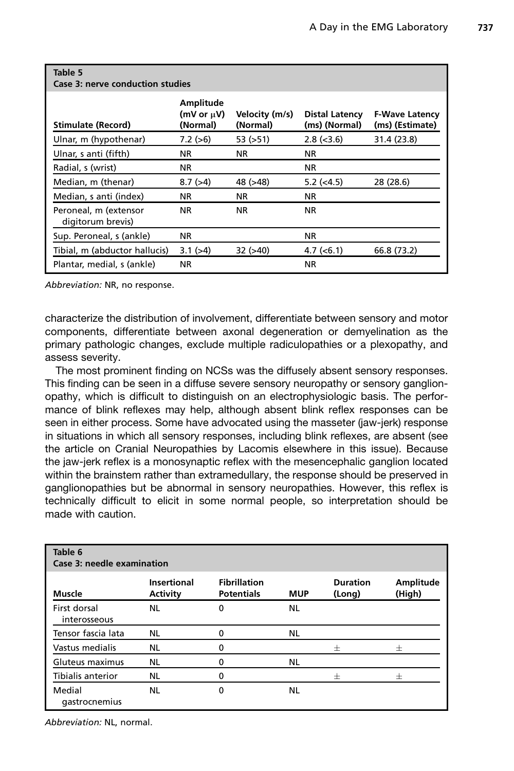<span id="page-6-0"></span>

| Table 5<br>Case 3: nerve conduction studies |                                          |                            |                                        |                                          |  |  |  |  |  |
|---------------------------------------------|------------------------------------------|----------------------------|----------------------------------------|------------------------------------------|--|--|--|--|--|
| Stimulate (Record)                          | Amplitude<br>(mV or $\mu$ V)<br>(Normal) | Velocity (m/s)<br>(Normal) | <b>Distal Latency</b><br>(ms) (Normal) | <b>F-Wave Latency</b><br>(ms) (Estimate) |  |  |  |  |  |
| Ulnar, m (hypothenar)                       | $7.2$ ( $>6$ )                           | 53 (>51)                   | $2.8$ ( $<$ 3.6)                       | 31.4 (23.8)                              |  |  |  |  |  |
| Ulnar, s anti (fifth)                       | ΝR                                       | ΝR                         | ΝR                                     |                                          |  |  |  |  |  |
| Radial, s (wrist)                           | NR.                                      |                            | ΝR                                     |                                          |  |  |  |  |  |
| Median, m (thenar)                          | 8.7(>4)                                  | 48 (>48)                   | $5.2$ ( $<$ 4.5)                       | 28 (28.6)                                |  |  |  |  |  |
| Median, s anti (index)                      | ΝR                                       | ΝR                         | ΝR                                     |                                          |  |  |  |  |  |
| Peroneal, m (extensor<br>digitorum brevis)  | <b>NR</b>                                | <b>NR</b>                  | NR.                                    |                                          |  |  |  |  |  |
| Sup. Peroneal, s (ankle)                    | NR.                                      |                            | NR.                                    |                                          |  |  |  |  |  |
| Tibial, m (abductor hallucis)               | 3.1(>4)                                  | 32(>40)                    | $4.7 \left( < 6.1 \right)$             | 66.8 (73.2)                              |  |  |  |  |  |
| Plantar, medial, s (ankle)                  | <b>NR</b>                                |                            | ΝR                                     |                                          |  |  |  |  |  |

Abbreviation: NR, no response.

characterize the distribution of involvement, differentiate between sensory and motor components, differentiate between axonal degeneration or demyelination as the primary pathologic changes, exclude multiple radiculopathies or a plexopathy, and assess severity.

The most prominent finding on NCSs was the diffusely absent sensory responses. This finding can be seen in a diffuse severe sensory neuropathy or sensory ganglionopathy, which is difficult to distinguish on an electrophysiologic basis. The performance of blink reflexes may help, although absent blink reflex responses can be seen in either process. Some have advocated using the masseter (jaw-jerk) response in situations in which all sensory responses, including blink reflexes, are absent (see the article on Cranial Neuropathies by Lacomis elsewhere in this issue). Because the jaw-jerk reflex is a monosynaptic reflex with the mesencephalic ganglion located within the brainstem rather than extramedullary, the response should be preserved in ganglionopathies but be abnormal in sensory neuropathies. However, this reflex is technically difficult to elicit in some normal people, so interpretation should be made with caution.

| Table 6<br>Case 3: needle examination |                                |                                          |            |                           |                     |  |  |  |  |
|---------------------------------------|--------------------------------|------------------------------------------|------------|---------------------------|---------------------|--|--|--|--|
| <b>Muscle</b>                         | <b>Insertional</b><br>Activity | <b>Fibrillation</b><br><b>Potentials</b> | <b>MUP</b> | <b>Duration</b><br>(Long) | Amplitude<br>(High) |  |  |  |  |
| First dorsal<br>interosseous          | <b>NL</b>                      | 0                                        | <b>NL</b>  |                           |                     |  |  |  |  |
| Tensor fascia lata                    | NL.                            | 0                                        | NL         |                           |                     |  |  |  |  |
| Vastus medialis                       | NL                             | 0                                        |            | 士                         | 士                   |  |  |  |  |
| Gluteus maximus                       | <b>NL</b>                      | 0                                        | NL         |                           |                     |  |  |  |  |
| Tibialis anterior                     | <b>NL</b>                      | 0                                        |            | 士                         | $^{+}$              |  |  |  |  |
| Medial<br>gastrocnemius               | NL                             | 0                                        | NL         |                           |                     |  |  |  |  |

Abbreviation: NL, normal.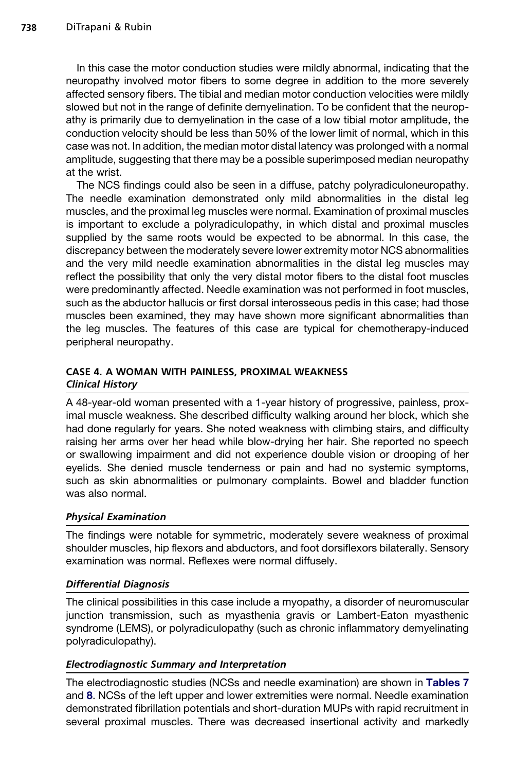In this case the motor conduction studies were mildly abnormal, indicating that the neuropathy involved motor fibers to some degree in addition to the more severely affected sensory fibers. The tibial and median motor conduction velocities were mildly slowed but not in the range of definite demyelination. To be confident that the neuropathy is primarily due to demyelination in the case of a low tibial motor amplitude, the conduction velocity should be less than 50% of the lower limit of normal, which in this case was not. In addition, the median motor distal latency was prolonged with a normal amplitude, suggesting that there may be a possible superimposed median neuropathy at the wrist.

The NCS findings could also be seen in a diffuse, patchy polyradiculoneuropathy. The needle examination demonstrated only mild abnormalities in the distal leg muscles, and the proximal leg muscles were normal. Examination of proximal muscles is important to exclude a polyradiculopathy, in which distal and proximal muscles supplied by the same roots would be expected to be abnormal. In this case, the discrepancy between the moderately severe lower extremity motor NCS abnormalities and the very mild needle examination abnormalities in the distal leg muscles may reflect the possibility that only the very distal motor fibers to the distal foot muscles were predominantly affected. Needle examination was not performed in foot muscles, such as the abductor hallucis or first dorsal interosseous pedis in this case; had those muscles been examined, they may have shown more significant abnormalities than the leg muscles. The features of this case are typical for chemotherapy-induced peripheral neuropathy.

## CASE 4. A WOMAN WITH PAINLESS, PROXIMAL WEAKNESS Clinical History

A 48-year-old woman presented with a 1-year history of progressive, painless, proximal muscle weakness. She described difficulty walking around her block, which she had done regularly for years. She noted weakness with climbing stairs, and difficulty raising her arms over her head while blow-drying her hair. She reported no speech or swallowing impairment and did not experience double vision or drooping of her eyelids. She denied muscle tenderness or pain and had no systemic symptoms, such as skin abnormalities or pulmonary complaints. Bowel and bladder function was also normal.

#### Physical Examination

The findings were notable for symmetric, moderately severe weakness of proximal shoulder muscles, hip flexors and abductors, and foot dorsiflexors bilaterally. Sensory examination was normal. Reflexes were normal diffusely.

#### Differential Diagnosis

The clinical possibilities in this case include a myopathy, a disorder of neuromuscular junction transmission, such as myasthenia gravis or Lambert-Eaton myasthenic syndrome (LEMS), or polyradiculopathy (such as chronic inflammatory demyelinating polyradiculopathy).

#### Electrodiagnostic Summary and Interpretation

The electrodiagnostic studies (NCSs and needle examination) are shown in [Tables 7](#page-8-0) and [8](#page-8-0). NCSs of the left upper and lower extremities were normal. Needle examination demonstrated fibrillation potentials and short-duration MUPs with rapid recruitment in several proximal muscles. There was decreased insertional activity and markedly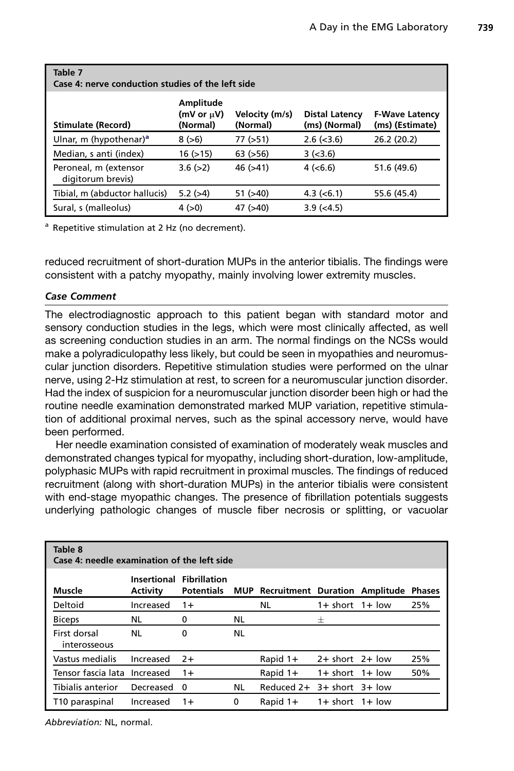<span id="page-8-0"></span>

| Table 7<br>Case 4: nerve conduction studies of the left side |                                          |                            |                                        |                                          |  |  |  |  |  |
|--------------------------------------------------------------|------------------------------------------|----------------------------|----------------------------------------|------------------------------------------|--|--|--|--|--|
| Stimulate (Record)                                           | Amplitude<br>(mV or $\mu$ V)<br>(Normal) | Velocity (m/s)<br>(Normal) | <b>Distal Latency</b><br>(ms) (Normal) | <b>F-Wave Latency</b><br>(ms) (Estimate) |  |  |  |  |  |
| Ulnar, m (hypothenar) <sup>a</sup>                           | 8(>6)                                    | 77 (>51)                   | $2.6 \approx 3.6$                      | 26.2 (20.2)                              |  |  |  |  |  |
| Median, s anti (index)                                       | 16(>15)                                  | $63 \; ( >56)$             | $3 (-3.6)$                             |                                          |  |  |  |  |  |
| Peroneal, m (extensor<br>digitorum brevis)                   | 3.6 (>2)                                 | 46(>41)                    | $4$ ( $< 6.6$ )                        | 51.6 (49.6)                              |  |  |  |  |  |
| Tibial, m (abductor hallucis)                                | 5.2(>4)                                  | $51 (>= 40)$               | $4.3 \; (< 6.1)$                       | 55.6 (45.4)                              |  |  |  |  |  |
| Sural, s (malleolus)                                         | 4(>0)                                    | $47$ ( $>40$ )             | $3.9$ ( $<$ 4.5)                       |                                          |  |  |  |  |  |

Repetitive stimulation at 2 Hz (no decrement).

reduced recruitment of short-duration MUPs in the anterior tibialis. The findings were consistent with a patchy myopathy, mainly involving lower extremity muscles.

#### Case Comment

The electrodiagnostic approach to this patient began with standard motor and sensory conduction studies in the legs, which were most clinically affected, as well as screening conduction studies in an arm. The normal findings on the NCSs would make a polyradiculopathy less likely, but could be seen in myopathies and neuromuscular junction disorders. Repetitive stimulation studies were performed on the ulnar nerve, using 2-Hz stimulation at rest, to screen for a neuromuscular junction disorder. Had the index of suspicion for a neuromuscular junction disorder been high or had the routine needle examination demonstrated marked MUP variation, repetitive stimulation of additional proximal nerves, such as the spinal accessory nerve, would have been performed.

Her needle examination consisted of examination of moderately weak muscles and demonstrated changes typical for myopathy, including short-duration, low-amplitude, polyphasic MUPs with rapid recruitment in proximal muscles. The findings of reduced recruitment (along with short-duration MUPs) in the anterior tibialis were consistent with end-stage myopathic changes. The presence of fibrillation potentials suggests underlying pathologic changes of muscle fiber necrosis or splitting, or vacuolar

| Table 8<br>Case 4: needle examination of the left side |           |                                               |    |                                                  |                     |  |     |  |  |  |
|--------------------------------------------------------|-----------|-----------------------------------------------|----|--------------------------------------------------|---------------------|--|-----|--|--|--|
| Muscle                                                 | Activity  | Insertional Fibrillation<br><b>Potentials</b> |    | <b>MUP Recruitment Duration Amplitude Phases</b> |                     |  |     |  |  |  |
| Deltoid                                                | Increased | $1+$                                          |    | ΝL                                               | $1+$ short $1+$ low |  | 25% |  |  |  |
| <b>Biceps</b>                                          | NL        | 0                                             | NL |                                                  | 士                   |  |     |  |  |  |
| First dorsal<br>interosseous                           | NL        | 0                                             | NL |                                                  |                     |  |     |  |  |  |
| Vastus medialis                                        | Increased | $2+$                                          |    | Rapid $1+$                                       | $2+$ short $2+$ low |  | 25% |  |  |  |
| Tensor fascia lata                                     | Increased | $1+$                                          |    | Rapid $1+$                                       | $1+$ short $1+$ low |  | 50% |  |  |  |
| Tibialis anterior                                      | Decreased | 0                                             | ΝL | Reduced 2+                                       | $3+$ short $3+$ low |  |     |  |  |  |
| T <sub>10</sub> paraspinal                             | Increased | $1+$                                          | 0  | Rapid $1+$                                       | $1+$ short $1+$ low |  |     |  |  |  |

Abbreviation: NL, normal.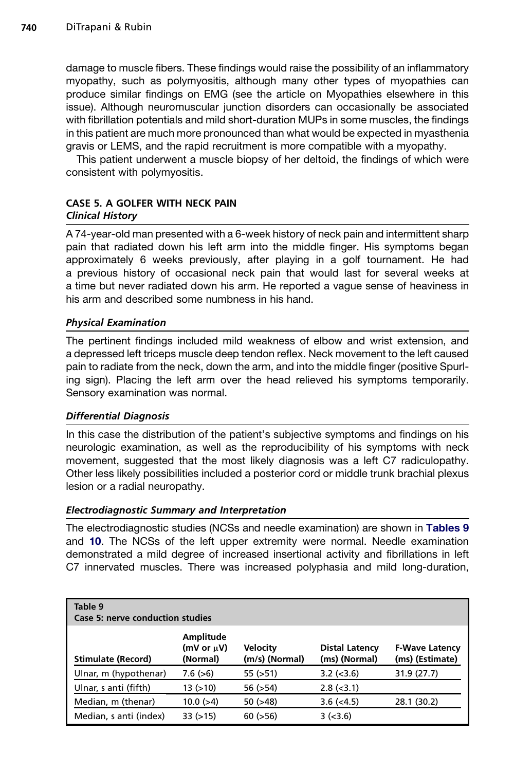damage to muscle fibers. These findings would raise the possibility of an inflammatory myopathy, such as polymyositis, although many other types of myopathies can produce similar findings on EMG (see the article on Myopathies elsewhere in this issue). Although neuromuscular junction disorders can occasionally be associated with fibrillation potentials and mild short-duration MUPs in some muscles, the findings in this patient are much more pronounced than what would be expected in myasthenia gravis or LEMS, and the rapid recruitment is more compatible with a myopathy.

This patient underwent a muscle biopsy of her deltoid, the findings of which were consistent with polymyositis.

## CASE 5. A GOLFER WITH NECK PAIN Clinical History

A 74-year-old man presented with a 6-week history of neck pain and intermittent sharp pain that radiated down his left arm into the middle finger. His symptoms began approximately 6 weeks previously, after playing in a golf tournament. He had a previous history of occasional neck pain that would last for several weeks at a time but never radiated down his arm. He reported a vague sense of heaviness in his arm and described some numbness in his hand.

## Physical Examination

The pertinent findings included mild weakness of elbow and wrist extension, and a depressed left triceps muscle deep tendon reflex. Neck movement to the left caused pain to radiate from the neck, down the arm, and into the middle finger (positive Spurling sign). Placing the left arm over the head relieved his symptoms temporarily. Sensory examination was normal.

## Differential Diagnosis

In this case the distribution of the patient's subjective symptoms and findings on his neurologic examination, as well as the reproducibility of his symptoms with neck movement, suggested that the most likely diagnosis was a left C7 radiculopathy. Other less likely possibilities included a posterior cord or middle trunk brachial plexus lesion or a radial neuropathy.

#### Electrodiagnostic Summary and Interpretation

The electrodiagnostic studies (NCSs and needle examination) are shown in Tables 9 and [10](#page-10-0). The NCSs of the left upper extremity were normal. Needle examination demonstrated a mild degree of increased insertional activity and fibrillations in left C7 innervated muscles. There was increased polyphasia and mild long-duration,

| Table 9<br>Case 5: nerve conduction studies |                                          |                            |                                        |                                          |  |  |  |  |
|---------------------------------------------|------------------------------------------|----------------------------|----------------------------------------|------------------------------------------|--|--|--|--|
| <b>Stimulate (Record)</b>                   | Amplitude<br>(mV or $\mu$ V)<br>(Normal) | Velocity<br>(m/s) (Normal) | <b>Distal Latency</b><br>(ms) (Normal) | <b>F-Wave Latency</b><br>(ms) (Estimate) |  |  |  |  |
| Ulnar, m (hypothenar)                       | $7.6$ ( $>6$ )                           | 55 (>51)                   | $3.2 \approx 3.6$                      | 31.9 (27.7)                              |  |  |  |  |
| Ulnar, s anti (fifth)                       | 13 (>10)                                 | 56 (>54)                   | $2.8$ ( $<$ 3.1)                       |                                          |  |  |  |  |
| Median, m (thenar)                          | $10.0 (=4)$                              | 50(>48)                    | $3.6$ ( $<$ 4.5)                       | 28.1 (30.2)                              |  |  |  |  |
| Median, s anti (index)                      | 33 (>15)                                 | $60$ ( $>56$ )             | $3 (-3.6)$                             |                                          |  |  |  |  |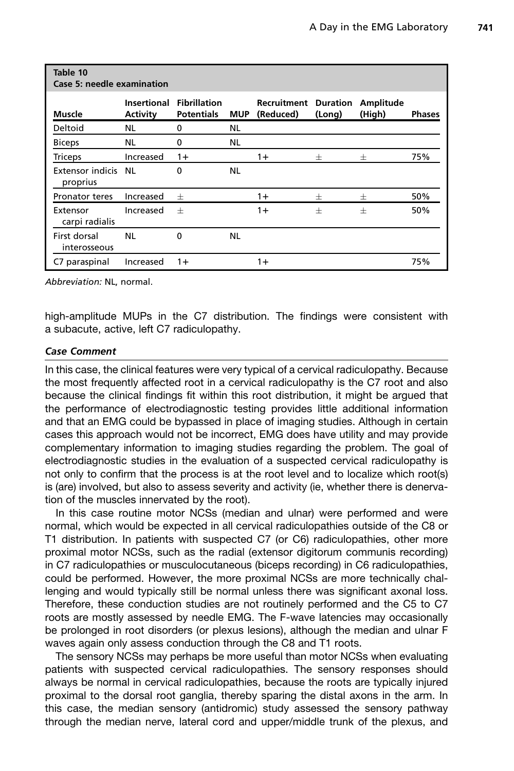<span id="page-10-0"></span>

| Table 10<br>Case 5: needle examination |                                |                                          |            |                                          |        |                     |               |  |  |
|----------------------------------------|--------------------------------|------------------------------------------|------------|------------------------------------------|--------|---------------------|---------------|--|--|
| Muscle                                 | <b>Insertional</b><br>Activity | <b>Fibrillation</b><br><b>Potentials</b> | <b>MUP</b> | <b>Recruitment Duration</b><br>(Reduced) | (Long) | Amplitude<br>(High) | <b>Phases</b> |  |  |
| Deltoid                                | NL                             | 0                                        | NL         |                                          |        |                     |               |  |  |
| <b>Biceps</b>                          | NL                             | 0                                        | NL         |                                          |        |                     |               |  |  |
| <b>Triceps</b>                         | Increased                      | $1+$                                     |            | $1+$                                     | 士      | 士                   | 75%           |  |  |
| Extensor indicis NL<br>proprius        |                                | $\Omega$                                 | NL         |                                          |        |                     |               |  |  |
| <b>Pronator teres</b>                  | Increased                      | 士                                        |            | $1+$                                     | 士      | 士                   | 50%           |  |  |
| Extensor<br>carpi radialis             | Increased                      | $+$                                      |            | $1+$                                     | $+$    | $+$                 | 50%           |  |  |
| First dorsal<br>interosseous           | <b>NL</b>                      | $\Omega$                                 | NL         |                                          |        |                     |               |  |  |
| C7 paraspinal                          | Increased                      | $1+$                                     |            | $1 +$                                    |        |                     | 75%           |  |  |

Abbreviation: NL, normal.

high-amplitude MUPs in the C7 distribution. The findings were consistent with a subacute, active, left C7 radiculopathy.

#### Case Comment

In this case, the clinical features were very typical of a cervical radiculopathy. Because the most frequently affected root in a cervical radiculopathy is the C7 root and also because the clinical findings fit within this root distribution, it might be argued that the performance of electrodiagnostic testing provides little additional information and that an EMG could be bypassed in place of imaging studies. Although in certain cases this approach would not be incorrect, EMG does have utility and may provide complementary information to imaging studies regarding the problem. The goal of electrodiagnostic studies in the evaluation of a suspected cervical radiculopathy is not only to confirm that the process is at the root level and to localize which root(s) is (are) involved, but also to assess severity and activity (ie, whether there is denervation of the muscles innervated by the root).

In this case routine motor NCSs (median and ulnar) were performed and were normal, which would be expected in all cervical radiculopathies outside of the C8 or T1 distribution. In patients with suspected C7 (or C6) radiculopathies, other more proximal motor NCSs, such as the radial (extensor digitorum communis recording) in C7 radiculopathies or musculocutaneous (biceps recording) in C6 radiculopathies, could be performed. However, the more proximal NCSs are more technically challenging and would typically still be normal unless there was significant axonal loss. Therefore, these conduction studies are not routinely performed and the C5 to C7 roots are mostly assessed by needle EMG. The F-wave latencies may occasionally be prolonged in root disorders (or plexus lesions), although the median and ulnar F waves again only assess conduction through the C8 and T1 roots.

The sensory NCSs may perhaps be more useful than motor NCSs when evaluating patients with suspected cervical radiculopathies. The sensory responses should always be normal in cervical radiculopathies, because the roots are typically injured proximal to the dorsal root ganglia, thereby sparing the distal axons in the arm. In this case, the median sensory (antidromic) study assessed the sensory pathway through the median nerve, lateral cord and upper/middle trunk of the plexus, and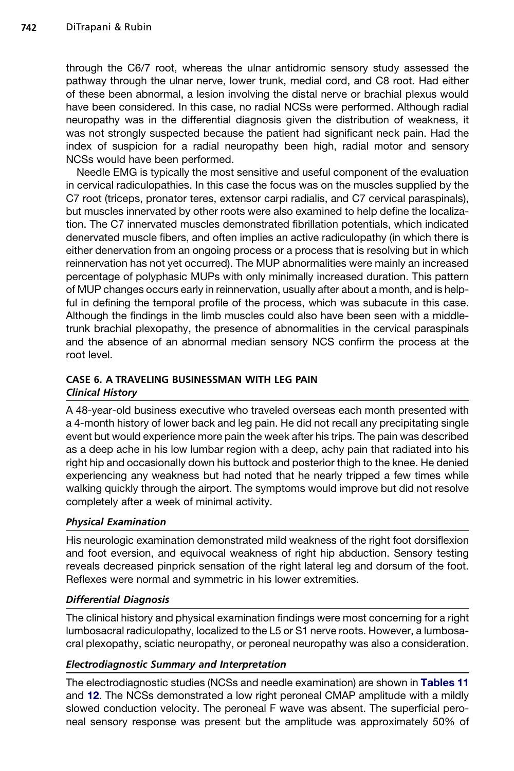through the C6/7 root, whereas the ulnar antidromic sensory study assessed the pathway through the ulnar nerve, lower trunk, medial cord, and C8 root. Had either of these been abnormal, a lesion involving the distal nerve or brachial plexus would have been considered. In this case, no radial NCSs were performed. Although radial neuropathy was in the differential diagnosis given the distribution of weakness, it was not strongly suspected because the patient had significant neck pain. Had the index of suspicion for a radial neuropathy been high, radial motor and sensory NCSs would have been performed.

Needle EMG is typically the most sensitive and useful component of the evaluation in cervical radiculopathies. In this case the focus was on the muscles supplied by the C7 root (triceps, pronator teres, extensor carpi radialis, and C7 cervical paraspinals), but muscles innervated by other roots were also examined to help define the localization. The C7 innervated muscles demonstrated fibrillation potentials, which indicated denervated muscle fibers, and often implies an active radiculopathy (in which there is either denervation from an ongoing process or a process that is resolving but in which reinnervation has not yet occurred). The MUP abnormalities were mainly an increased percentage of polyphasic MUPs with only minimally increased duration. This pattern of MUP changes occurs early in reinnervation, usually after about a month, and is helpful in defining the temporal profile of the process, which was subacute in this case. Although the findings in the limb muscles could also have been seen with a middletrunk brachial plexopathy, the presence of abnormalities in the cervical paraspinals and the absence of an abnormal median sensory NCS confirm the process at the root level.

## CASE 6. A TRAVELING BUSINESSMAN WITH LEG PAIN Clinical History

A 48-year-old business executive who traveled overseas each month presented with a 4-month history of lower back and leg pain. He did not recall any precipitating single event but would experience more pain the week after his trips. The pain was described as a deep ache in his low lumbar region with a deep, achy pain that radiated into his right hip and occasionally down his buttock and posterior thigh to the knee. He denied experiencing any weakness but had noted that he nearly tripped a few times while walking quickly through the airport. The symptoms would improve but did not resolve completely after a week of minimal activity.

## Physical Examination

His neurologic examination demonstrated mild weakness of the right foot dorsiflexion and foot eversion, and equivocal weakness of right hip abduction. Sensory testing reveals decreased pinprick sensation of the right lateral leg and dorsum of the foot. Reflexes were normal and symmetric in his lower extremities.

#### Differential Diagnosis

The clinical history and physical examination findings were most concerning for a right lumbosacral radiculopathy, localized to the L5 or S1 nerve roots. However, a lumbosacral plexopathy, sciatic neuropathy, or peroneal neuropathy was also a consideration.

#### Electrodiagnostic Summary and Interpretation

The electrodiagnostic studies (NCSs and needle examination) are shown in [Tables 11](#page-12-0) and [12](#page-12-0). The NCSs demonstrated a low right peroneal CMAP amplitude with a mildly slowed conduction velocity. The peroneal F wave was absent. The superficial peroneal sensory response was present but the amplitude was approximately 50% of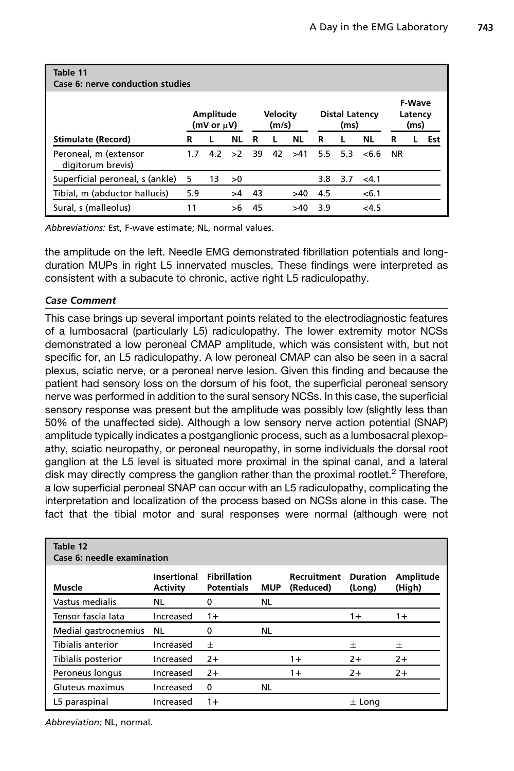<span id="page-12-0"></span>

| Table 11<br>Case 6: nerve conduction studies |                              |     |                          |    |                               |     |                                  |       |         |           |  |     |
|----------------------------------------------|------------------------------|-----|--------------------------|----|-------------------------------|-----|----------------------------------|-------|---------|-----------|--|-----|
|                                              | Amplitude<br>(mV or $\mu$ V) |     | <b>Velocity</b><br>(m/s) |    | <b>Distal Latency</b><br>(ms) |     | <b>F-Wave</b><br>Latency<br>(ms) |       |         |           |  |     |
| Stimulate (Record)                           | R                            |     | NL                       | R  |                               | NL  | R                                | L     | ΝL      | R         |  | Est |
| Peroneal, m (extensor<br>digitorum brevis)   | 1.7                          | 4.2 | >2                       | 39 | 42                            | >41 | 5.5                              | - 5.3 | < 6.6   | <b>NR</b> |  |     |
| Superficial peroneal, s (ankle)              | 5                            | 13  | >0                       |    |                               |     | 3.8                              | 3.7   | $<$ 4.1 |           |  |     |
| Tibial, m (abductor hallucis)                | 5.9                          |     | >4 ∴                     | 43 |                               | >40 | 4.5                              |       | < 6.1   |           |  |     |
| Sural, s (malleolus)                         | 11                           |     | >6                       | 45 |                               | >40 | 3.9                              |       | <4.5    |           |  |     |

Abbreviations: Est, F-wave estimate; NL, normal values.

the amplitude on the left. Needle EMG demonstrated fibrillation potentials and longduration MUPs in right L5 innervated muscles. These findings were interpreted as consistent with a subacute to chronic, active right L5 radiculopathy.

#### Case Comment

This case brings up several important points related to the electrodiagnostic features of a lumbosacral (particularly L5) radiculopathy. The lower extremity motor NCSs demonstrated a low peroneal CMAP amplitude, which was consistent with, but not specific for, an L5 radiculopathy. A low peroneal CMAP can also be seen in a sacral plexus, sciatic nerve, or a peroneal nerve lesion. Given this finding and because the patient had sensory loss on the dorsum of his foot, the superficial peroneal sensory nerve was performed in addition to the sural sensory NCSs. In this case, the superficial sensory response was present but the amplitude was possibly low (slightly less than 50% of the unaffected side). Although a low sensory nerve action potential (SNAP) amplitude typically indicates a postganglionic process, such as a lumbosacral plexopathy, sciatic neuropathy, or peroneal neuropathy, in some individuals the dorsal root ganglion at the L5 level is situated more proximal in the spinal canal, and a lateral disk may directly compress the ganglion rather than the proximal rootlet.<sup>[2](#page-24-0)</sup> Therefore, a low superficial peroneal SNAP can occur with an L5 radiculopathy, complicating the interpretation and localization of the process based on NCSs alone in this case. The fact that the tibial motor and sural responses were normal (although were not

| Table 12<br>Case 6: needle examination |                                |                                          |            |                          |                           |                     |  |  |  |
|----------------------------------------|--------------------------------|------------------------------------------|------------|--------------------------|---------------------------|---------------------|--|--|--|
| Muscle                                 | Insertional<br><b>Activity</b> | <b>Fibrillation</b><br><b>Potentials</b> | <b>MUP</b> | Recruitment<br>(Reduced) | <b>Duration</b><br>(Long) | Amplitude<br>(High) |  |  |  |
| Vastus medialis                        | NL                             | 0                                        | NL         |                          |                           |                     |  |  |  |
| Tensor fascia lata                     | Increased                      | $1+$                                     |            |                          | $1+$                      | $1 +$               |  |  |  |
| Medial gastrocnemius                   | NL                             | 0                                        | NL         |                          |                           |                     |  |  |  |
| Tibialis anterior                      | Increased                      | $+$                                      |            |                          | $^{+}$                    | 士                   |  |  |  |
| Tibialis posterior                     | Increased                      | $2+$                                     |            | $1 +$                    | $2+$                      | $2+$                |  |  |  |
| Peroneus longus                        | Increased                      | $2+$                                     |            | $1 +$                    | $2+$                      | $2+$                |  |  |  |
| Gluteus maximus                        | Increased                      | 0                                        | NL         |                          |                           |                     |  |  |  |
| L5 paraspinal                          | Increased                      | $1 +$                                    |            |                          | $\pm$ Long                |                     |  |  |  |

Abbreviation: NL, normal.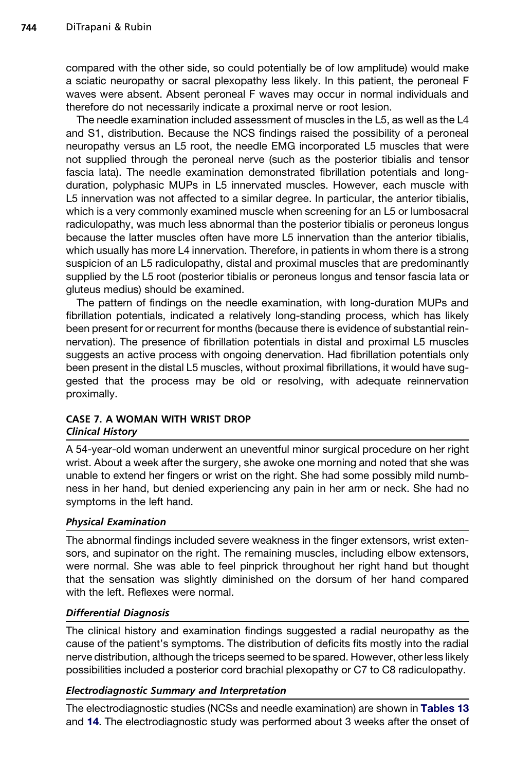compared with the other side, so could potentially be of low amplitude) would make a sciatic neuropathy or sacral plexopathy less likely. In this patient, the peroneal F waves were absent. Absent peroneal F waves may occur in normal individuals and therefore do not necessarily indicate a proximal nerve or root lesion.

The needle examination included assessment of muscles in the L5, as well as the L4 and S1, distribution. Because the NCS findings raised the possibility of a peroneal neuropathy versus an L5 root, the needle EMG incorporated L5 muscles that were not supplied through the peroneal nerve (such as the posterior tibialis and tensor fascia lata). The needle examination demonstrated fibrillation potentials and longduration, polyphasic MUPs in L5 innervated muscles. However, each muscle with L5 innervation was not affected to a similar degree. In particular, the anterior tibialis, which is a very commonly examined muscle when screening for an L5 or lumbosacral radiculopathy, was much less abnormal than the posterior tibialis or peroneus longus because the latter muscles often have more L5 innervation than the anterior tibialis, which usually has more L4 innervation. Therefore, in patients in whom there is a strong suspicion of an L5 radiculopathy, distal and proximal muscles that are predominantly supplied by the L5 root (posterior tibialis or peroneus longus and tensor fascia lata or gluteus medius) should be examined.

The pattern of findings on the needle examination, with long-duration MUPs and fibrillation potentials, indicated a relatively long-standing process, which has likely been present for or recurrent for months (because there is evidence of substantial reinnervation). The presence of fibrillation potentials in distal and proximal L5 muscles suggests an active process with ongoing denervation. Had fibrillation potentials only been present in the distal L5 muscles, without proximal fibrillations, it would have suggested that the process may be old or resolving, with adequate reinnervation proximally.

## CASE 7. A WOMAN WITH WRIST DROP Clinical History

A 54-year-old woman underwent an uneventful minor surgical procedure on her right wrist. About a week after the surgery, she awoke one morning and noted that she was unable to extend her fingers or wrist on the right. She had some possibly mild numbness in her hand, but denied experiencing any pain in her arm or neck. She had no symptoms in the left hand.

## Physical Examination

The abnormal findings included severe weakness in the finger extensors, wrist extensors, and supinator on the right. The remaining muscles, including elbow extensors, were normal. She was able to feel pinprick throughout her right hand but thought that the sensation was slightly diminished on the dorsum of her hand compared with the left. Reflexes were normal.

#### Differential Diagnosis

The clinical history and examination findings suggested a radial neuropathy as the cause of the patient's symptoms. The distribution of deficits fits mostly into the radial nerve distribution, although the triceps seemed to be spared. However, other less likely possibilities included a posterior cord brachial plexopathy or C7 to C8 radiculopathy.

#### Electrodiagnostic Summary and Interpretation

The electrodiagnostic studies (NCSs and needle examination) are shown in [Tables 13](#page-14-0) and [14](#page-14-0). The electrodiagnostic study was performed about 3 weeks after the onset of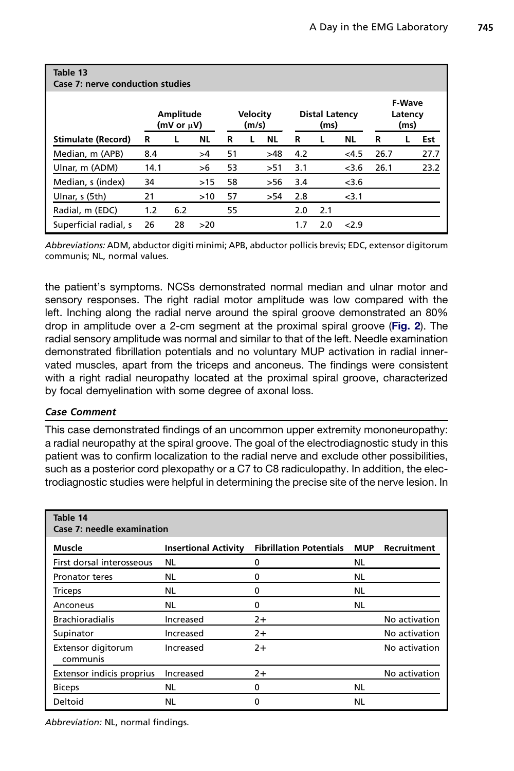<span id="page-14-0"></span>

| Table 13<br>Case 7: nerve conduction studies |                              |     |                   |    |                               |           |     |                                  |           |      |  |      |
|----------------------------------------------|------------------------------|-----|-------------------|----|-------------------------------|-----------|-----|----------------------------------|-----------|------|--|------|
|                                              | Amplitude<br>(mV or $\mu$ V) |     | Velocity<br>(m/s) |    | <b>Distal Latency</b><br>(ms) |           |     | <b>F-Wave</b><br>Latency<br>(ms) |           |      |  |      |
| <b>Stimulate (Record)</b>                    | R                            | L   | <b>NL</b>         | R  | L                             | <b>NL</b> | R   | L                                | <b>NL</b> | R    |  | Est  |
| Median, m (APB)                              | 8.4                          |     | >4                | 51 |                               | >48       | 4.2 |                                  | <4.5      | 26.7 |  | 27.7 |
| Ulnar, m (ADM)                               | 14.1                         |     | >6                | 53 |                               | >51       | 3.1 |                                  | < 3.6     | 26.1 |  | 23.2 |
| Median, s (index)                            | 34                           |     | >15               | 58 |                               | >56       | 3.4 |                                  | < 3.6     |      |  |      |
| Ulnar, s (5th)                               | 21                           |     | >10               | 57 |                               | > 54      | 2.8 |                                  | $<$ 3.1   |      |  |      |
| Radial, m (EDC)                              | 1.2                          | 6.2 |                   | 55 |                               |           | 2.0 | 2.1                              |           |      |  |      |
| Superficial radial, s                        | 26                           | 28  | >20               |    |                               |           | 1.7 | 2.0                              | 2.9       |      |  |      |

Abbreviations: ADM, abductor digiti minimi; APB, abductor pollicis brevis; EDC, extensor digitorum communis; NL, normal values.

the patient's symptoms. NCSs demonstrated normal median and ulnar motor and sensory responses. The right radial motor amplitude was low compared with the left. Inching along the radial nerve around the spiral groove demonstrated an 80% drop in amplitude over a 2-cm segment at the proximal spiral groove ([Fig. 2](#page-15-0)). The radial sensory amplitude was normal and similar to that of the left. Needle examination demonstrated fibrillation potentials and no voluntary MUP activation in radial innervated muscles, apart from the triceps and anconeus. The findings were consistent with a right radial neuropathy located at the proximal spiral groove, characterized by focal demyelination with some degree of axonal loss.

#### Case Comment

This case demonstrated findings of an uncommon upper extremity mononeuropathy: a radial neuropathy at the spiral groove. The goal of the electrodiagnostic study in this patient was to confirm localization to the radial nerve and exclude other possibilities, such as a posterior cord plexopathy or a C7 to C8 radiculopathy. In addition, the electrodiagnostic studies were helpful in determining the precise site of the nerve lesion. In

| Table 14<br>Case 7: needle examination |                             |                                |            |               |  |  |  |  |
|----------------------------------------|-----------------------------|--------------------------------|------------|---------------|--|--|--|--|
| Muscle                                 | <b>Insertional Activity</b> | <b>Fibrillation Potentials</b> | <b>MUP</b> | Recruitment   |  |  |  |  |
| First dorsal interosseous              | NL                          | 0                              | NL         |               |  |  |  |  |
| <b>Pronator teres</b>                  | NL                          | 0                              | NL         |               |  |  |  |  |
| <b>Triceps</b>                         | NL                          | 0                              | NL         |               |  |  |  |  |
| Anconeus                               | NL                          | 0                              | NL         |               |  |  |  |  |
| <b>Brachioradialis</b>                 | Increased                   | $2+$                           |            | No activation |  |  |  |  |
| Supinator                              | Increased                   | $2+$                           |            | No activation |  |  |  |  |
| Extensor digitorum<br>communis         | Increased                   | $2+$                           |            | No activation |  |  |  |  |
| Extensor indicis proprius              | Increased                   | $2+$                           |            | No activation |  |  |  |  |
| <b>Biceps</b>                          | NL                          | 0                              | NL         |               |  |  |  |  |
| Deltoid                                | NL                          | 0                              | NL         |               |  |  |  |  |

Abbreviation: NL, normal findings.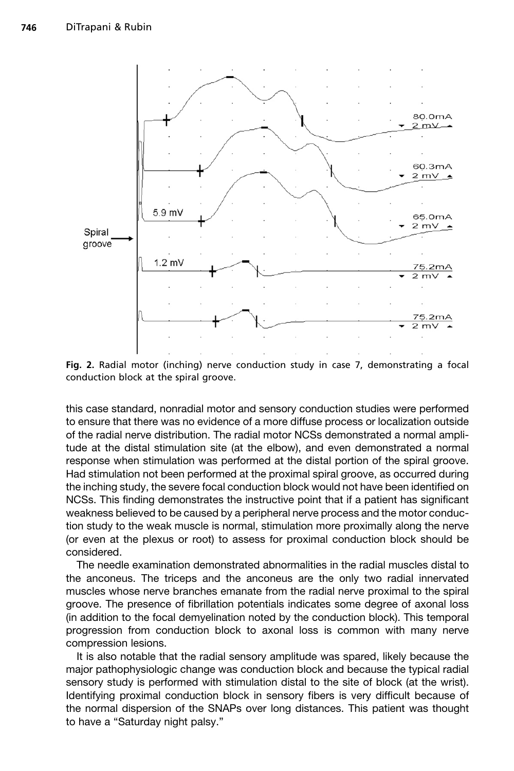<span id="page-15-0"></span>

Fig. 2. Radial motor (inching) nerve conduction study in case 7, demonstrating a focal conduction block at the spiral groove.

this case standard, nonradial motor and sensory conduction studies were performed to ensure that there was no evidence of a more diffuse process or localization outside of the radial nerve distribution. The radial motor NCSs demonstrated a normal amplitude at the distal stimulation site (at the elbow), and even demonstrated a normal response when stimulation was performed at the distal portion of the spiral groove. Had stimulation not been performed at the proximal spiral groove, as occurred during the inching study, the severe focal conduction block would not have been identified on NCSs. This finding demonstrates the instructive point that if a patient has significant weakness believed to be caused by a peripheral nerve process and the motor conduction study to the weak muscle is normal, stimulation more proximally along the nerve (or even at the plexus or root) to assess for proximal conduction block should be considered.

The needle examination demonstrated abnormalities in the radial muscles distal to the anconeus. The triceps and the anconeus are the only two radial innervated muscles whose nerve branches emanate from the radial nerve proximal to the spiral groove. The presence of fibrillation potentials indicates some degree of axonal loss (in addition to the focal demyelination noted by the conduction block). This temporal progression from conduction block to axonal loss is common with many nerve compression lesions.

It is also notable that the radial sensory amplitude was spared, likely because the major pathophysiologic change was conduction block and because the typical radial sensory study is performed with stimulation distal to the site of block (at the wrist). Identifying proximal conduction block in sensory fibers is very difficult because of the normal dispersion of the SNAPs over long distances. This patient was thought to have a "Saturday night palsy."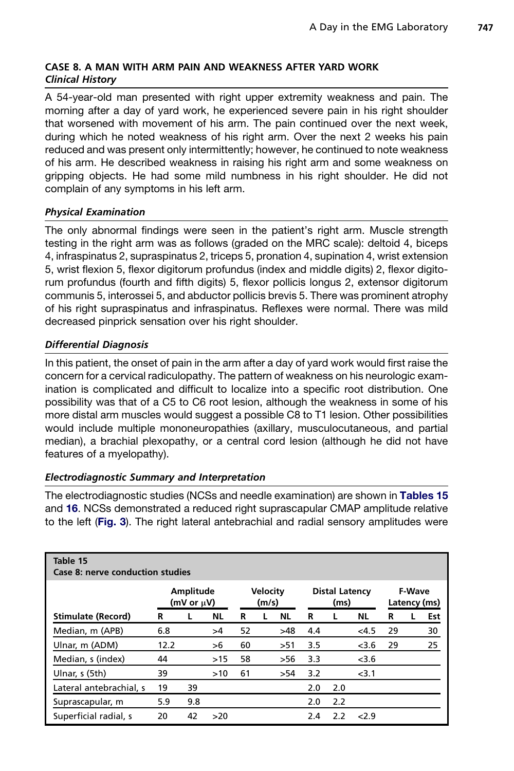# CASE 8. A MAN WITH ARM PAIN AND WEAKNESS AFTER YARD WORK Clinical History

A 54-year-old man presented with right upper extremity weakness and pain. The morning after a day of yard work, he experienced severe pain in his right shoulder that worsened with movement of his arm. The pain continued over the next week, during which he noted weakness of his right arm. Over the next 2 weeks his pain reduced and was present only intermittently; however, he continued to note weakness of his arm. He described weakness in raising his right arm and some weakness on gripping objects. He had some mild numbness in his right shoulder. He did not complain of any symptoms in his left arm.

## Physical Examination

The only abnormal findings were seen in the patient's right arm. Muscle strength testing in the right arm was as follows (graded on the MRC scale): deltoid 4, biceps 4, infraspinatus 2, supraspinatus 2, triceps 5, pronation 4, supination 4, wrist extension 5, wrist flexion 5, flexor digitorum profundus (index and middle digits) 2, flexor digitorum profundus (fourth and fifth digits) 5, flexor pollicis longus 2, extensor digitorum communis 5, interossei 5, and abductor pollicis brevis 5. There was prominent atrophy of his right supraspinatus and infraspinatus. Reflexes were normal. There was mild decreased pinprick sensation over his right shoulder.

## Differential Diagnosis

In this patient, the onset of pain in the arm after a day of yard work would first raise the concern for a cervical radiculopathy. The pattern of weakness on his neurologic examination is complicated and difficult to localize into a specific root distribution. One possibility was that of a C5 to C6 root lesion, although the weakness in some of his more distal arm muscles would suggest a possible C8 to T1 lesion. Other possibilities would include multiple mononeuropathies (axillary, musculocutaneous, and partial median), a brachial plexopathy, or a central cord lesion (although he did not have features of a myelopathy).

#### Electrodiagnostic Summary and Interpretation

The electrodiagnostic studies (NCSs and needle examination) are shown in Tables 15 and [16](#page-17-0). NCSs demonstrated a reduced right suprascapular CMAP amplitude relative to the left ([Fig. 3](#page-17-0)). The right lateral antebrachial and radial sensory amplitudes were

| Table 15<br>Case 8: nerve conduction studies |                              |     |                   |    |                               |     |                               |     |         |    |  |     |
|----------------------------------------------|------------------------------|-----|-------------------|----|-------------------------------|-----|-------------------------------|-----|---------|----|--|-----|
|                                              | Amplitude<br>(mV or $\mu$ V) |     | Velocity<br>(m/s) |    | <b>Distal Latency</b><br>(ms) |     | <b>F-Wave</b><br>Latency (ms) |     |         |    |  |     |
| <b>Stimulate (Record)</b>                    | R                            | L   | NL                | R  | L                             | NL  | R                             |     | NL      | R  |  | Est |
| Median, m (APB)                              | 6.8                          |     | >4                | 52 |                               | >48 | 4.4                           |     | <4.5    | 29 |  | 30  |
| Ulnar, m (ADM)                               | 12.2                         |     | >6                | 60 |                               | >51 | 3.5                           |     | < 3.6   | 29 |  | 25  |
| Median, s (index)                            | 44                           |     | >15               | 58 |                               | >56 | 3.3                           |     | < 3.6   |    |  |     |
| Ulnar, s (5th)                               | 39                           |     | >10               | 61 |                               | >54 | 3.2                           |     | $<$ 3.1 |    |  |     |
| Lateral antebrachial, s                      | 19                           | 39  |                   |    |                               |     | 2.0                           | 2.0 |         |    |  |     |
| Suprascapular, m                             | 5.9                          | 9.8 |                   |    |                               |     | 2.0                           | 2.2 |         |    |  |     |
| Superficial radial, s                        | 20                           | 42  | >20               |    |                               |     | 2.4                           | 2.2 | 2.9     |    |  |     |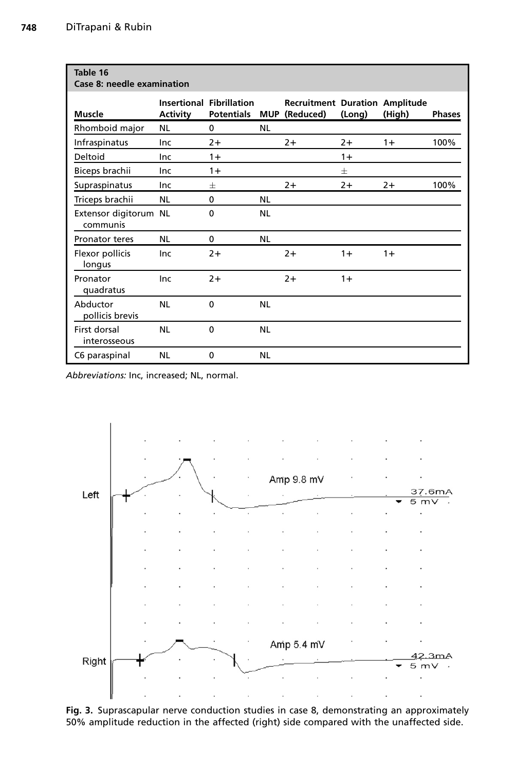<span id="page-17-0"></span>

| Table 16<br>Case 8: needle examination |                 |                                                      |            |                                                    |        |        |               |
|----------------------------------------|-----------------|------------------------------------------------------|------------|----------------------------------------------------|--------|--------|---------------|
| Muscle                                 | <b>Activity</b> | <b>Insertional Fibrillation</b><br><b>Potentials</b> | <b>MUP</b> | <b>Recruitment Duration Amplitude</b><br>(Reduced) | (Long) | (High) | <b>Phases</b> |
| Rhomboid major                         | <b>NL</b>       | 0                                                    | <b>NL</b>  |                                                    |        |        |               |
| Infraspinatus                          | Inc             | $2+$                                                 |            | $2+$                                               | $2+$   | $1+$   | 100%          |
| Deltoid                                | <b>Inc</b>      | $1+$                                                 |            |                                                    | $1+$   |        |               |
| Biceps brachii                         | Inc             | $1+$                                                 |            |                                                    | $\pm$  |        |               |
| Supraspinatus                          | Inc             | 士                                                    |            | $2+$                                               | $2+$   | $2+$   | 100%          |
| Triceps brachii                        | <b>NL</b>       | 0                                                    | NL         |                                                    |        |        |               |
| Extensor digitorum NL<br>communis      |                 | $\mathbf 0$                                          | <b>NL</b>  |                                                    |        |        |               |
| <b>Pronator teres</b>                  | <b>NL</b>       | 0                                                    | <b>NL</b>  |                                                    |        |        |               |
| Flexor pollicis<br>longus              | <b>Inc</b>      | $2+$                                                 |            | $2+$                                               | $1+$   | $1+$   |               |
| Pronator<br>quadratus                  | Inc             | $2+$                                                 |            | $2+$                                               | $1+$   |        |               |
| Abductor<br>pollicis brevis            | <b>NL</b>       | 0                                                    | <b>NL</b>  |                                                    |        |        |               |
| First dorsal<br>interosseous           | <b>NL</b>       | $\mathbf 0$                                          | <b>NL</b>  |                                                    |        |        |               |
| C6 paraspinal                          | <b>NL</b>       | 0                                                    | NL         |                                                    |        |        |               |

Abbreviations: Inc, increased; NL, normal.



Fig. 3. Suprascapular nerve conduction studies in case 8, demonstrating an approximately 50% amplitude reduction in the affected (right) side compared with the unaffected side.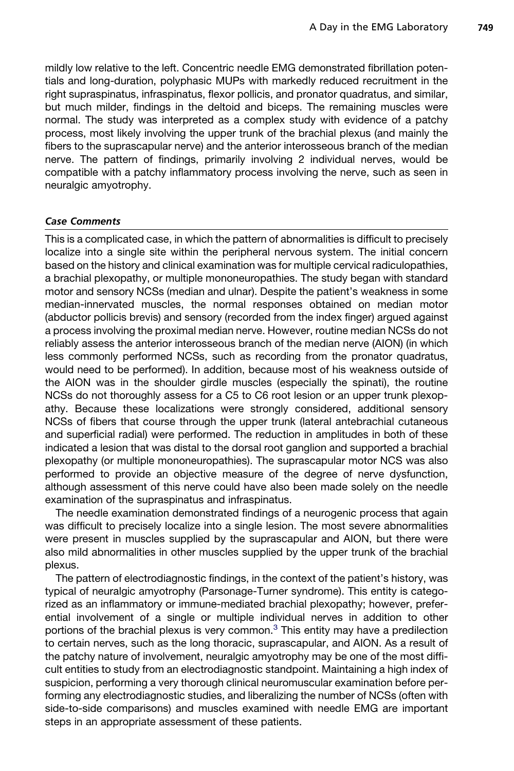mildly low relative to the left. Concentric needle EMG demonstrated fibrillation potentials and long-duration, polyphasic MUPs with markedly reduced recruitment in the right supraspinatus, infraspinatus, flexor pollicis, and pronator quadratus, and similar, but much milder, findings in the deltoid and biceps. The remaining muscles were normal. The study was interpreted as a complex study with evidence of a patchy process, most likely involving the upper trunk of the brachial plexus (and mainly the fibers to the suprascapular nerve) and the anterior interosseous branch of the median nerve. The pattern of findings, primarily involving 2 individual nerves, would be compatible with a patchy inflammatory process involving the nerve, such as seen in neuralgic amyotrophy.

#### Case Comments

This is a complicated case, in which the pattern of abnormalities is difficult to precisely localize into a single site within the peripheral nervous system. The initial concern based on the history and clinical examination was for multiple cervical radiculopathies, a brachial plexopathy, or multiple mononeuropathies. The study began with standard motor and sensory NCSs (median and ulnar). Despite the patient's weakness in some median-innervated muscles, the normal responses obtained on median motor (abductor pollicis brevis) and sensory (recorded from the index finger) argued against a process involving the proximal median nerve. However, routine median NCSs do not reliably assess the anterior interosseous branch of the median nerve (AION) (in which less commonly performed NCSs, such as recording from the pronator quadratus, would need to be performed). In addition, because most of his weakness outside of the AION was in the shoulder girdle muscles (especially the spinati), the routine NCSs do not thoroughly assess for a C5 to C6 root lesion or an upper trunk plexopathy. Because these localizations were strongly considered, additional sensory NCSs of fibers that course through the upper trunk (lateral antebrachial cutaneous and superficial radial) were performed. The reduction in amplitudes in both of these indicated a lesion that was distal to the dorsal root ganglion and supported a brachial plexopathy (or multiple mononeuropathies). The suprascapular motor NCS was also performed to provide an objective measure of the degree of nerve dysfunction, although assessment of this nerve could have also been made solely on the needle examination of the supraspinatus and infraspinatus.

The needle examination demonstrated findings of a neurogenic process that again was difficult to precisely localize into a single lesion. The most severe abnormalities were present in muscles supplied by the suprascapular and AION, but there were also mild abnormalities in other muscles supplied by the upper trunk of the brachial plexus.

The pattern of electrodiagnostic findings, in the context of the patient's history, was typical of neuralgic amyotrophy (Parsonage-Turner syndrome). This entity is categorized as an inflammatory or immune-mediated brachial plexopathy; however, preferential involvement of a single or multiple individual nerves in addition to other portions of the brachial plexus is very common. $3$  This entity may have a predilection to certain nerves, such as the long thoracic, suprascapular, and AION. As a result of the patchy nature of involvement, neuralgic amyotrophy may be one of the most difficult entities to study from an electrodiagnostic standpoint. Maintaining a high index of suspicion, performing a very thorough clinical neuromuscular examination before performing any electrodiagnostic studies, and liberalizing the number of NCSs (often with side-to-side comparisons) and muscles examined with needle EMG are important steps in an appropriate assessment of these patients.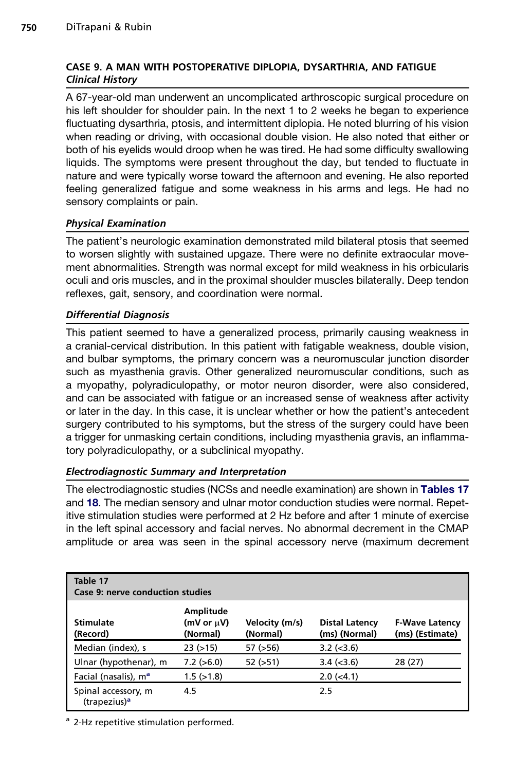# CASE 9. A MAN WITH POSTOPERATIVE DIPLOPIA, DYSARTHRIA, AND FATIGUE Clinical History

A 67-year-old man underwent an uncomplicated arthroscopic surgical procedure on his left shoulder for shoulder pain. In the next 1 to 2 weeks he began to experience fluctuating dysarthria, ptosis, and intermittent diplopia. He noted blurring of his vision when reading or driving, with occasional double vision. He also noted that either or both of his eyelids would droop when he was tired. He had some difficulty swallowing liquids. The symptoms were present throughout the day, but tended to fluctuate in nature and were typically worse toward the afternoon and evening. He also reported feeling generalized fatigue and some weakness in his arms and legs. He had no sensory complaints or pain.

# Physical Examination

The patient's neurologic examination demonstrated mild bilateral ptosis that seemed to worsen slightly with sustained upgaze. There were no definite extraocular movement abnormalities. Strength was normal except for mild weakness in his orbicularis oculi and oris muscles, and in the proximal shoulder muscles bilaterally. Deep tendon reflexes, gait, sensory, and coordination were normal.

# Differential Diagnosis

This patient seemed to have a generalized process, primarily causing weakness in a cranial-cervical distribution. In this patient with fatigable weakness, double vision, and bulbar symptoms, the primary concern was a neuromuscular junction disorder such as myasthenia gravis. Other generalized neuromuscular conditions, such as a myopathy, polyradiculopathy, or motor neuron disorder, were also considered, and can be associated with fatigue or an increased sense of weakness after activity or later in the day. In this case, it is unclear whether or how the patient's antecedent surgery contributed to his symptoms, but the stress of the surgery could have been a trigger for unmasking certain conditions, including myasthenia gravis, an inflammatory polyradiculopathy, or a subclinical myopathy.

## Electrodiagnostic Summary and Interpretation

The electrodiagnostic studies (NCSs and needle examination) are shown in Tables 17 and [18](#page-20-0). The median sensory and ulnar motor conduction studies were normal. Repetitive stimulation studies were performed at 2 Hz before and after 1 minute of exercise in the left spinal accessory and facial nerves. No abnormal decrement in the CMAP amplitude or area was seen in the spinal accessory nerve (maximum decrement

| Table 17<br>Case 9: nerve conduction studies    |                                          |                            |                                        |                                          |  |  |  |  |
|-------------------------------------------------|------------------------------------------|----------------------------|----------------------------------------|------------------------------------------|--|--|--|--|
| Stimulate<br>(Record)                           | Amplitude<br>(mV or $\mu$ V)<br>(Normal) | Velocity (m/s)<br>(Normal) | <b>Distal Latency</b><br>(ms) (Normal) | <b>F-Wave Latency</b><br>(ms) (Estimate) |  |  |  |  |
| Median (index), s                               | 23(>15)                                  | $57$ ( $>56$ )             | $3.2$ ( $<$ 3.6)                       |                                          |  |  |  |  |
| Ulnar (hypothenar), m                           | $7.2$ ( $>6.0$ )                         | 52 (>51)                   | $3.4 \approx 3.6$                      | 28 (27)                                  |  |  |  |  |
| Facial (nasalis), m <sup>a</sup>                | 1.5(>1.8)                                |                            | $2.0$ ( $<$ 4.1)                       |                                          |  |  |  |  |
| Spinal accessory, m<br>(trapezius) <sup>a</sup> | 4.5                                      |                            | 2.5                                    |                                          |  |  |  |  |

<sup>a</sup> 2-Hz repetitive stimulation performed.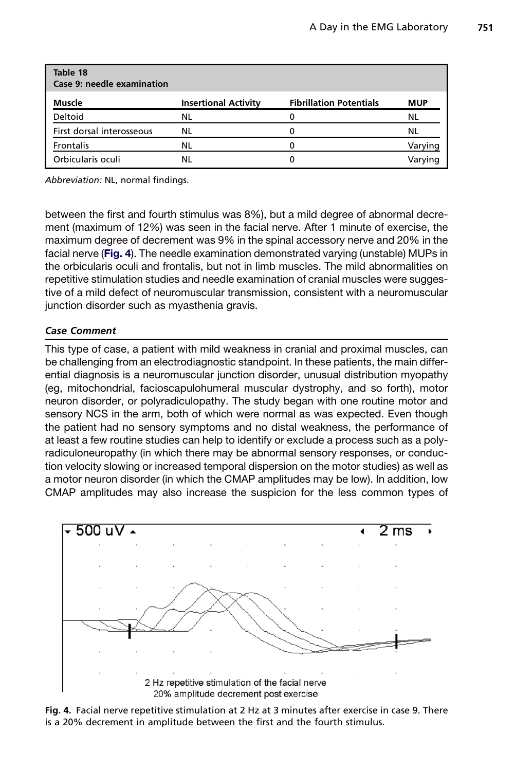<span id="page-20-0"></span>

| Table 18<br>Case 9: needle examination |                             |                                |            |
|----------------------------------------|-----------------------------|--------------------------------|------------|
| Muscle                                 | <b>Insertional Activity</b> | <b>Fibrillation Potentials</b> | <b>MUP</b> |
| Deltoid                                | NL                          |                                | NL         |
| First dorsal interosseous              | NL                          |                                | NL         |
| <b>Frontalis</b>                       | ΝL                          |                                | Varying    |
| Orbicularis oculi                      | ΝL                          |                                | Varying    |

Abbreviation: NL, normal findings.

between the first and fourth stimulus was 8%), but a mild degree of abnormal decrement (maximum of 12%) was seen in the facial nerve. After 1 minute of exercise, the maximum degree of decrement was 9% in the spinal accessory nerve and 20% in the facial nerve (Fig. 4). The needle examination demonstrated varying (unstable) MUPs in the orbicularis oculi and frontalis, but not in limb muscles. The mild abnormalities on repetitive stimulation studies and needle examination of cranial muscles were suggestive of a mild defect of neuromuscular transmission, consistent with a neuromuscular junction disorder such as myasthenia gravis.

#### Case Comment

This type of case, a patient with mild weakness in cranial and proximal muscles, can be challenging from an electrodiagnostic standpoint. In these patients, the main differential diagnosis is a neuromuscular junction disorder, unusual distribution myopathy (eg, mitochondrial, facioscapulohumeral muscular dystrophy, and so forth), motor neuron disorder, or polyradiculopathy. The study began with one routine motor and sensory NCS in the arm, both of which were normal as was expected. Even though the patient had no sensory symptoms and no distal weakness, the performance of at least a few routine studies can help to identify or exclude a process such as a polyradiculoneuropathy (in which there may be abnormal sensory responses, or conduction velocity slowing or increased temporal dispersion on the motor studies) as well as a motor neuron disorder (in which the CMAP amplitudes may be low). In addition, low CMAP amplitudes may also increase the suspicion for the less common types of



Fig. 4. Facial nerve repetitive stimulation at 2 Hz at 3 minutes after exercise in case 9. There is a 20% decrement in amplitude between the first and the fourth stimulus.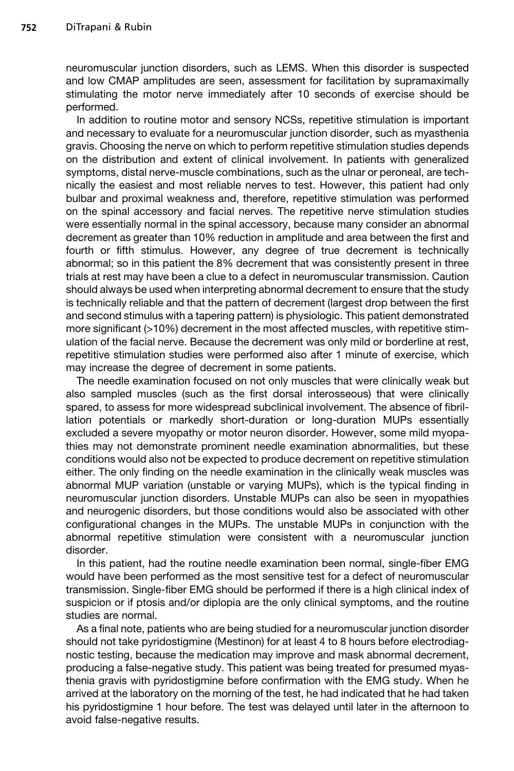neuromuscular junction disorders, such as LEMS. When this disorder is suspected and low CMAP amplitudes are seen, assessment for facilitation by supramaximally stimulating the motor nerve immediately after 10 seconds of exercise should be performed.

In addition to routine motor and sensory NCSs, repetitive stimulation is important and necessary to evaluate for a neuromuscular junction disorder, such as myasthenia gravis. Choosing the nerve on which to perform repetitive stimulation studies depends on the distribution and extent of clinical involvement. In patients with generalized symptoms, distal nerve-muscle combinations, such as the ulnar or peroneal, are technically the easiest and most reliable nerves to test. However, this patient had only bulbar and proximal weakness and, therefore, repetitive stimulation was performed on the spinal accessory and facial nerves. The repetitive nerve stimulation studies were essentially normal in the spinal accessory, because many consider an abnormal decrement as greater than 10% reduction in amplitude and area between the first and fourth or fifth stimulus. However, any degree of true decrement is technically abnormal; so in this patient the 8% decrement that was consistently present in three trials at rest may have been a clue to a defect in neuromuscular transmission. Caution should always be used when interpreting abnormal decrement to ensure that the study is technically reliable and that the pattern of decrement (largest drop between the first and second stimulus with a tapering pattern) is physiologic. This patient demonstrated more significant (>10%) decrement in the most affected muscles, with repetitive stimulation of the facial nerve. Because the decrement was only mild or borderline at rest, repetitive stimulation studies were performed also after 1 minute of exercise, which may increase the degree of decrement in some patients.

The needle examination focused on not only muscles that were clinically weak but also sampled muscles (such as the first dorsal interosseous) that were clinically spared, to assess for more widespread subclinical involvement. The absence of fibrillation potentials or markedly short-duration or long-duration MUPs essentially excluded a severe myopathy or motor neuron disorder. However, some mild myopathies may not demonstrate prominent needle examination abnormalities, but these conditions would also not be expected to produce decrement on repetitive stimulation either. The only finding on the needle examination in the clinically weak muscles was abnormal MUP variation (unstable or varying MUPs), which is the typical finding in neuromuscular junction disorders. Unstable MUPs can also be seen in myopathies and neurogenic disorders, but those conditions would also be associated with other configurational changes in the MUPs. The unstable MUPs in conjunction with the abnormal repetitive stimulation were consistent with a neuromuscular junction disorder.

In this patient, had the routine needle examination been normal, single-fiber EMG would have been performed as the most sensitive test for a defect of neuromuscular transmission. Single-fiber EMG should be performed if there is a high clinical index of suspicion or if ptosis and/or diplopia are the only clinical symptoms, and the routine studies are normal.

As a final note, patients who are being studied for a neuromuscular junction disorder should not take pyridostigmine (Mestinon) for at least 4 to 8 hours before electrodiagnostic testing, because the medication may improve and mask abnormal decrement, producing a false-negative study. This patient was being treated for presumed myasthenia gravis with pyridostigmine before confirmation with the EMG study. When he arrived at the laboratory on the morning of the test, he had indicated that he had taken his pyridostigmine 1 hour before. The test was delayed until later in the afternoon to avoid false-negative results.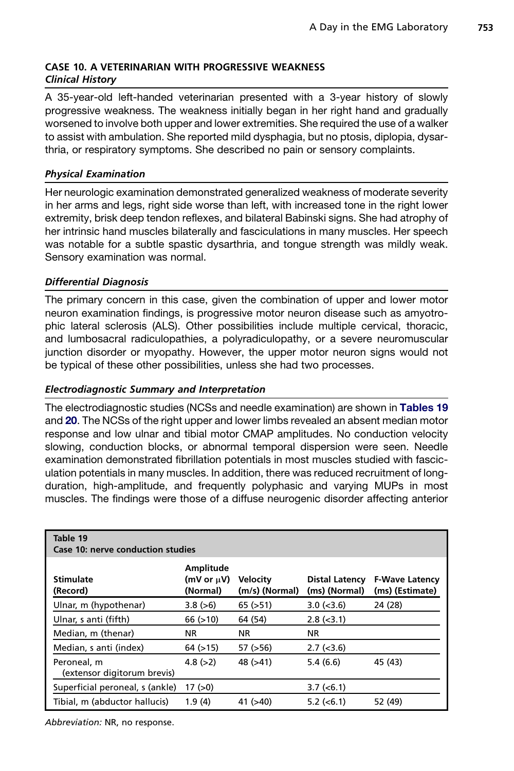## CASE 10. A VETERINARIAN WITH PROGRESSIVE WEAKNESS Clinical History

A 35-year-old left-handed veterinarian presented with a 3-year history of slowly progressive weakness. The weakness initially began in her right hand and gradually worsened to involve both upper and lower extremities. She required the use of a walker to assist with ambulation. She reported mild dysphagia, but no ptosis, diplopia, dysarthria, or respiratory symptoms. She described no pain or sensory complaints.

## Physical Examination

Her neurologic examination demonstrated generalized weakness of moderate severity in her arms and legs, right side worse than left, with increased tone in the right lower extremity, brisk deep tendon reflexes, and bilateral Babinski signs. She had atrophy of her intrinsic hand muscles bilaterally and fasciculations in many muscles. Her speech was notable for a subtle spastic dysarthria, and tongue strength was mildly weak. Sensory examination was normal.

## Differential Diagnosis

The primary concern in this case, given the combination of upper and lower motor neuron examination findings, is progressive motor neuron disease such as amyotrophic lateral sclerosis (ALS). Other possibilities include multiple cervical, thoracic, and lumbosacral radiculopathies, a polyradiculopathy, or a severe neuromuscular junction disorder or myopathy. However, the upper motor neuron signs would not be typical of these other possibilities, unless she had two processes.

## Electrodiagnostic Summary and Interpretation

The electrodiagnostic studies (NCSs and needle examination) are shown in Tables 19 and [20](#page-23-0). The NCSs of the right upper and lower limbs revealed an absent median motor response and low ulnar and tibial motor CMAP amplitudes. No conduction velocity slowing, conduction blocks, or abnormal temporal dispersion were seen. Needle examination demonstrated fibrillation potentials in most muscles studied with fasciculation potentials in many muscles. In addition, there was reduced recruitment of longduration, high-amplitude, and frequently polyphasic and varying MUPs in most muscles. The findings were those of a diffuse neurogenic disorder affecting anterior

| Table 19<br>Case 10: nerve conduction studies |                                          |                            |                                        |                                          |  |  |  |  |
|-----------------------------------------------|------------------------------------------|----------------------------|----------------------------------------|------------------------------------------|--|--|--|--|
| Stimulate<br>(Record)                         | Amplitude<br>(mV or $\mu$ V)<br>(Normal) | Velocity<br>(m/s) (Normal) | <b>Distal Latency</b><br>(ms) (Normal) | <b>F-Wave Latency</b><br>(ms) (Estimate) |  |  |  |  |
| Ulnar, m (hypothenar)                         | 3.8(>6)                                  | 65 (>51)                   | $3.0$ ( $<$ 3.6)                       | 24 (28)                                  |  |  |  |  |
| Ulnar, s anti (fifth)                         | 66 (>10)                                 | 64 (54)                    | $2.8$ ( $<$ 3.1)                       |                                          |  |  |  |  |
| Median, m (thenar)                            | ΝR                                       | ΝR                         | ΝR                                     |                                          |  |  |  |  |
| Median, s anti (index)                        | $64$ ( $>15$ )                           | $57$ ( $>56$ )             | $2.7 \leq 3.6$                         |                                          |  |  |  |  |
| Peroneal, m<br>(extensor digitorum brevis)    | 4.8(>2)                                  | 48(>41)                    | 5.4(6.6)                               | 45 (43)                                  |  |  |  |  |
| Superficial peroneal, s (ankle)               | 17(>0)                                   |                            | $3.7$ ( $< 6.1$ )                      |                                          |  |  |  |  |
| Tibial, m (abductor hallucis)                 | 1.9(4)                                   | 41(>40)                    | $5.2$ ( $< 6.1$ )                      | 52 (49)                                  |  |  |  |  |

Abbreviation: NR, no response.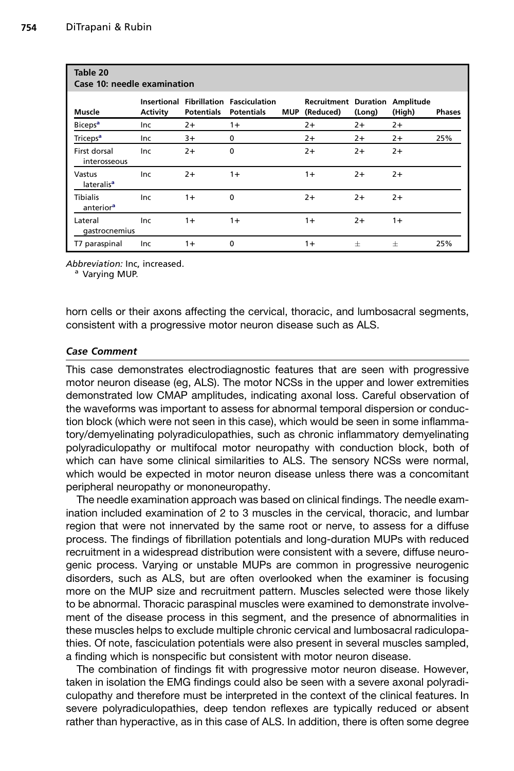<span id="page-23-0"></span>

| Table 20<br>Case 10: needle examination |                 |                   |                                                             |  |                                                               |          |          |               |  |
|-----------------------------------------|-----------------|-------------------|-------------------------------------------------------------|--|---------------------------------------------------------------|----------|----------|---------------|--|
| Muscle                                  | <b>Activity</b> | <b>Potentials</b> | Insertional Fibrillation Fasciculation<br><b>Potentials</b> |  | <b>Recruitment Duration Amplitude</b><br><b>MUP</b> (Reduced) | (Long)   | (High)   | <b>Phases</b> |  |
| <b>Biceps<sup>a</sup></b>               | Inc             | $2+$              | $1+$                                                        |  | $2+$                                                          | $2+$     | $2+$     |               |  |
| <b>Triceps<sup>a</sup></b>              | Inc.            | $3+$              | 0                                                           |  | $2+$                                                          | $2+$     | $2+$     | 25%           |  |
| First dorsal<br>interosseous            | Inc             | $2+$              | $\Omega$                                                    |  | $2+$                                                          | $2+$     | $2+$     |               |  |
| Vastus<br>lateralis <sup>a</sup>        | Inc             | $2+$              | $1+$                                                        |  | $1+$                                                          | $2+$     | $2+$     |               |  |
| Tibialis<br>anterior <sup>a</sup>       | Inc             | $1+$              | $\Omega$                                                    |  | $2+$                                                          | $2+$     | $2+$     |               |  |
| Lateral<br>gastrocnemius                | Inc             | $1+$              | $1+$                                                        |  | $1+$                                                          | $2+$     | $1+$     |               |  |
| T7 paraspinal                           | Inc             | $1+$              | 0                                                           |  | $1+$                                                          | $_{\pm}$ | $_{\pm}$ | 25%           |  |

Abbreviation: Inc, increased.<br><sup>a</sup> Varying MUP.

horn cells or their axons affecting the cervical, thoracic, and lumbosacral segments, consistent with a progressive motor neuron disease such as ALS.

#### Case Comment

This case demonstrates electrodiagnostic features that are seen with progressive motor neuron disease (eg, ALS). The motor NCSs in the upper and lower extremities demonstrated low CMAP amplitudes, indicating axonal loss. Careful observation of the waveforms was important to assess for abnormal temporal dispersion or conduction block (which were not seen in this case), which would be seen in some inflammatory/demyelinating polyradiculopathies, such as chronic inflammatory demyelinating polyradiculopathy or multifocal motor neuropathy with conduction block, both of which can have some clinical similarities to ALS. The sensory NCSs were normal, which would be expected in motor neuron disease unless there was a concomitant peripheral neuropathy or mononeuropathy.

The needle examination approach was based on clinical findings. The needle examination included examination of 2 to 3 muscles in the cervical, thoracic, and lumbar region that were not innervated by the same root or nerve, to assess for a diffuse process. The findings of fibrillation potentials and long-duration MUPs with reduced recruitment in a widespread distribution were consistent with a severe, diffuse neurogenic process. Varying or unstable MUPs are common in progressive neurogenic disorders, such as ALS, but are often overlooked when the examiner is focusing more on the MUP size and recruitment pattern. Muscles selected were those likely to be abnormal. Thoracic paraspinal muscles were examined to demonstrate involvement of the disease process in this segment, and the presence of abnormalities in these muscles helps to exclude multiple chronic cervical and lumbosacral radiculopathies. Of note, fasciculation potentials were also present in several muscles sampled, a finding which is nonspecific but consistent with motor neuron disease.

The combination of findings fit with progressive motor neuron disease. However, taken in isolation the EMG findings could also be seen with a severe axonal polyradiculopathy and therefore must be interpreted in the context of the clinical features. In severe polyradiculopathies, deep tendon reflexes are typically reduced or absent rather than hyperactive, as in this case of ALS. In addition, there is often some degree